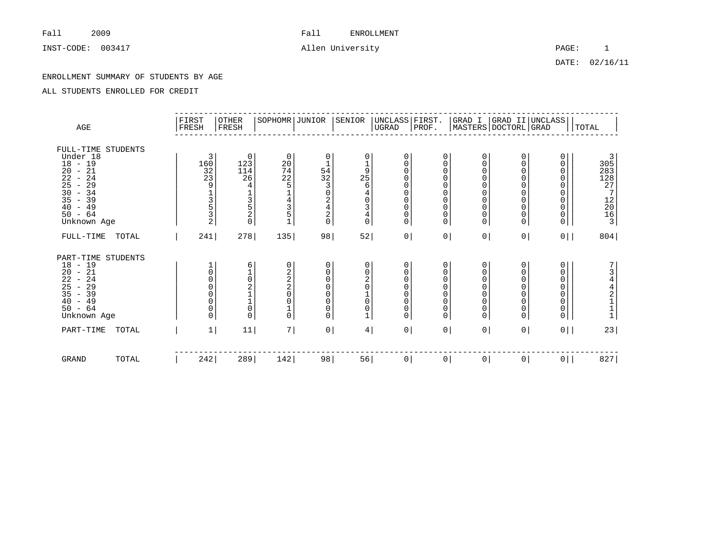INST-CODE: 003417 2008 allen University 2008 and The PAGE: 1

DATE: 02/16/11

### ENROLLMENT SUMMARY OF STUDENTS BY AGE

| AGE                                                                                                                                                                                                                                   | FIRST<br>FRESH                                                                                              | OTHER<br>FRESH                                                 | SOPHOMR JUNIOR                                                                  |                                                                                                                            | SENIOR                                                                                                       | UNCLASS FIRST.<br>UGRAD                                                                                                            | PROF.                                                                                                                       |                                                                                                                                          |                                                                 | GRAD I  GRAD II UNCLASS <br> MASTERS DOCTORL GRAD                             | TOTAL                                                                     |
|---------------------------------------------------------------------------------------------------------------------------------------------------------------------------------------------------------------------------------------|-------------------------------------------------------------------------------------------------------------|----------------------------------------------------------------|---------------------------------------------------------------------------------|----------------------------------------------------------------------------------------------------------------------------|--------------------------------------------------------------------------------------------------------------|------------------------------------------------------------------------------------------------------------------------------------|-----------------------------------------------------------------------------------------------------------------------------|------------------------------------------------------------------------------------------------------------------------------------------|-----------------------------------------------------------------|-------------------------------------------------------------------------------|---------------------------------------------------------------------------|
| FULL-TIME STUDENTS<br>Under 18<br>$18 - 19$<br>20<br>$-21$<br>22<br>24<br>$\sim$<br>25<br>29<br>$\overline{\phantom{a}}$<br>30<br>$-34$<br>35<br>$-39$<br>49<br>40<br>$\overline{\phantom{0}}$<br>64<br>50<br>$\equiv$<br>Unknown Age | 3<br>160<br>$\frac{32}{23}$<br>9<br>$\frac{1}{3}$<br>$\frac{5}{2}$                                          | 0<br>123<br>114<br>26<br>4<br>3<br>5<br>$\frac{2}{0}$          | $\mathbf 0$<br>$\frac{20}{74}$<br>22<br>5<br>4<br>$\frac{3}{5}$<br>$\mathbf{1}$ | 0<br>$\mathbf 1$<br>54<br>32<br>$\overline{3}$<br>$\mathsf{O}\xspace$<br>$\begin{array}{c}\n2 \\ 4 \\ 2 \\ 0\n\end{array}$ | 0<br>$\frac{1}{9}$<br>25<br>6<br>$\overline{4}$<br>$\mathsf{O}\xspace$<br>3<br>$\overline{4}$<br>$\mathbf 0$ | 0<br>0<br>$\mathbf 0$<br>$\mathbf 0$<br>$\mathbf 0$<br>$\mathbf 0$<br>$\mathbf 0$<br>$\mathbf 0$<br>$\mathsf{0}$<br>$\overline{0}$ | 0<br>$\mathbf 0$<br>$\mathbf 0$<br>$\mathbf 0$<br>$\Omega$<br>$\mathbf 0$<br>$\mathbf 0$<br>$\mathbf 0$<br>0<br>$\mathbf 0$ | 0<br>$\mathbf 0$<br>$\mathbf 0$<br>$\mathbf 0$<br>$\mathbf 0$<br>$\mathbf 0$<br>$\mathbf 0$<br>$\mathbf 0$<br>$\mathbf 0$<br>$\mathbf 0$ | 0<br>0<br>0<br>$\Omega$<br>0<br>0<br>0<br>$\mathbf 0$<br>0<br>0 | 0<br>0<br>0<br>0<br>0<br>0<br>$\overline{0}$<br>$\mathsf{O}\xspace$<br>$_0^0$ | 3<br>305<br>283<br>128<br>127<br>27<br>$\frac{12}{20}$<br>$\frac{20}{16}$ |
| FULL-TIME<br>TOTAL                                                                                                                                                                                                                    | 241                                                                                                         | 278                                                            | 135                                                                             | 98                                                                                                                         | 52                                                                                                           | 0 <sup>1</sup>                                                                                                                     |                                                                                                                             | $\overline{0}$<br> 0                                                                                                                     | 0 <sup>1</sup>                                                  | $0$                                                                           | 804                                                                       |
| PART-TIME STUDENTS<br>18<br>$-19$<br>$-21$<br>20<br>22<br>-24<br>$\overline{\phantom{a}}$<br>25<br>29<br>$\sim$<br>$-39$<br>35<br>49<br>40<br>$\sim$<br>$50 - 64$<br>Unknown Age                                                      | $\mathsf{O}\xspace$<br>$\mathbf 0$<br>$\mathbf 0$<br>$\mathsf{O}\xspace$<br>$\mathsf{O}\xspace$<br>$\Omega$ | 6<br>$\frac{1}{0}$<br>$\frac{1}{1}$<br>$\mathsf 0$<br>$\Omega$ | 0<br>$\frac{2}{2}$<br>0<br>$\mathbf{1}$<br>$\Omega$                             | 0<br>0<br>0<br>$\mathsf 0$<br>$\pmb{0}$<br>$\mathsf{O}\xspace$<br>0<br>0                                                   | 0<br>$\begin{matrix} 0 \\ 2 \\ 0 \end{matrix}$<br>$\frac{1}{0}$<br>0<br>1                                    | $\mathbf 0$<br>0<br>0<br>$\mathbf 0$<br>$\mathbf 0$<br>$\mathbf 0$<br>0<br>$\overline{0}$                                          | 0<br>0<br>$\mathbf 0$<br>$\mathbf 0$<br>$\mathbf 0$<br>0<br>0<br>$\mathbf 0$                                                | 0<br>$\mathbf 0$<br>$\mathbf 0$<br>$\overline{0}$<br>$\mathbf 0$<br>$\mathbf 0$<br>$\mathbf 0$<br>$\mathbf 0$                            | 0<br>0<br>$\overline{0}$<br>$\overline{0}$<br>0<br>0<br>0<br>0  | 0<br>0<br>0<br>0<br>$\mathsf{O}\xspace$<br>$\mathsf{O}\xspace$<br>0<br>0      | 344211                                                                    |
| PART-TIME<br>TOTAL                                                                                                                                                                                                                    | $\mathbf{1}$                                                                                                | $11\,$                                                         | 7                                                                               | 0 <sup>1</sup>                                                                                                             | 4                                                                                                            | 0                                                                                                                                  |                                                                                                                             | 0 <sup>1</sup><br>0 <sup>1</sup>                                                                                                         | 0 <sup>1</sup>                                                  | 0 <sup>1</sup>                                                                | 23                                                                        |
| <b>GRAND</b><br>TOTAL                                                                                                                                                                                                                 | 242                                                                                                         | 289                                                            | 142                                                                             | 98                                                                                                                         | 56                                                                                                           | 0                                                                                                                                  | $\overline{0}$                                                                                                              | 0                                                                                                                                        | 0                                                               | 0 <sup>1</sup>                                                                | 827                                                                       |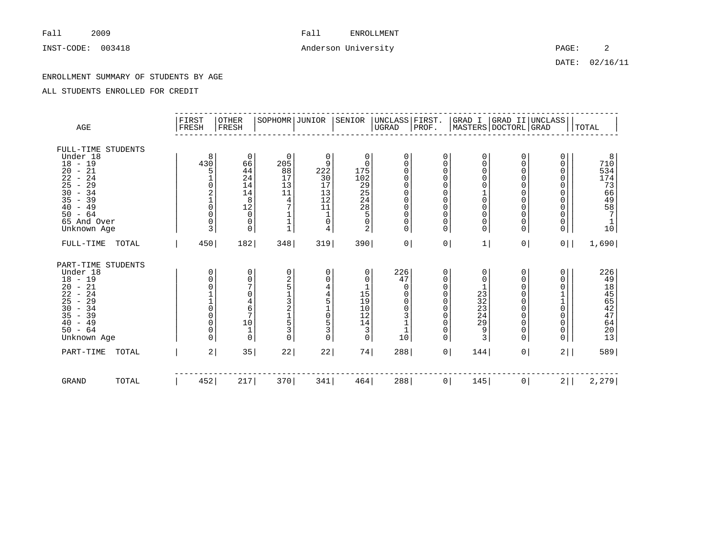# INST-CODE: 003418 2 Anderson University 2

DATE: 02/16/11

### ENROLLMENT SUMMARY OF STUDENTS BY AGE

| AGE                                                                                                                                                                                   | FIRST<br>FRESH                                                                 | OTHER<br>FRESH                                                                                                                                                            | SOPHOMR JUNIOR                                                            |                                                                                                                          | SENIOR                                                                                  | UNCLASS FIRST.<br> UGRAD PROF.                                                                                                                          |                                                                                                                       |                                                                                                                                                  |                                                       | GRAD I  GRAD II UNCLASS <br> MASTERS DOCTORL GRAD                     | TOTAL                                                                                     |
|---------------------------------------------------------------------------------------------------------------------------------------------------------------------------------------|--------------------------------------------------------------------------------|---------------------------------------------------------------------------------------------------------------------------------------------------------------------------|---------------------------------------------------------------------------|--------------------------------------------------------------------------------------------------------------------------|-----------------------------------------------------------------------------------------|---------------------------------------------------------------------------------------------------------------------------------------------------------|-----------------------------------------------------------------------------------------------------------------------|--------------------------------------------------------------------------------------------------------------------------------------------------|-------------------------------------------------------|-----------------------------------------------------------------------|-------------------------------------------------------------------------------------------|
| FULL-TIME STUDENTS<br>Under 18<br>$18 - 19$<br>$20 - 21$<br>22<br>$-24$<br>29<br>25<br>$\sim$<br>$30 - 34$<br>35<br>$-39$<br>$-49$<br>40<br>$-64$<br>50<br>65 And Over<br>Unknown Age | 8<br>430<br>5<br>$\mathbf 0$<br>$\frac{2}{1}$<br>$\overline{0}$<br>0<br>0<br>3 | 0<br>66<br>44<br>24<br>$\begin{smallmatrix}1\,4\1\,4\end{smallmatrix}$<br>$\,8\,$<br>$\begin{smallmatrix} 1 & 2 \\ 0 & 0 \end{smallmatrix}$<br>$\mathbf 0$<br>$\mathbf 0$ | 0<br>205<br>88<br>17<br>13<br>11<br>4<br>7<br>$\mathbf 1$<br>$\mathbf{1}$ | 0<br>9<br>222<br>30<br>17<br>$\begin{array}{c} 13 \\ 12 \end{array}$<br>11<br>$\mathbf 1$<br>0<br>$\overline{4}$         | 0<br>$\mathbf 0$<br>175<br>102<br>$29$<br>$29$<br>$24$<br>$28$<br>5<br>$\mathbf 0$<br>2 | 0<br>$\Omega$<br>$\mathbf 0$<br>$\mathbf 0$<br>$\mathbf 0$<br>$\mathbf 0$<br>$\mathbf 0$<br>$\mathbf 0$<br>$\mathbf 0$<br>$\mathbf 0$<br>$\overline{0}$ | 0<br>0<br>$\Omega$<br>$\Omega$<br>0<br>$\Omega$<br>$\Omega$<br>$\Omega$<br>$\Omega$<br>$\mathbf 0$<br>$\Omega$        | 0<br>$\mathbf 0$<br>0<br>$\mathbf 0$<br>$\mathbf 0$<br>$\begin{matrix} 1 \\ 0 \end{matrix}$<br>$\overline{0}$<br>$\mathbf 0$<br>0<br>$\mathbf 0$ | 0<br>0<br>0<br>0<br>0<br>0<br>0<br>0<br>0<br>0<br>0   | 0<br>0<br>0<br>0<br>0<br>0<br>$\mathsf{O}\xspace$<br>0<br>0<br>0<br>0 | $\begin{smallmatrix} & 8\\ 710 \end{smallmatrix}$<br>534<br>17436457<br>$\mathbf 1$<br>10 |
| $FULL-TIME$<br>TOTAL                                                                                                                                                                  | 450                                                                            | 182                                                                                                                                                                       | 348                                                                       | 319                                                                                                                      | 390                                                                                     | 0                                                                                                                                                       | 0 <sup>1</sup>                                                                                                        | 1                                                                                                                                                | 0 <sup>1</sup>                                        | 0 <sup>1</sup>                                                        | 1,690                                                                                     |
| PART-TIME STUDENTS<br>Under 18<br>$18 - 19$<br>$20 - 21$<br>$22 - 24$<br>25<br>$-29$<br>$30 - 34$<br>$35 - 39$<br>$-49$<br>40<br>$50 - 64$<br>Unknown Age                             | 0<br>0<br>0<br>$\overline{0}$<br>$\mathsf{O}\xspace$<br>0<br>0<br>0            | 0<br>0<br>$\overline{7}$<br>0<br>4<br>$\epsilon$<br>$\overline{7}$<br>$\begin{array}{c}\n1 \stackrel{.}{0} \\ 1\n\end{array}$<br>$\mathsf 0$                              | 0<br>$\frac{2}{5}$<br>$\frac{1}{3}$<br>$\frac{1}{5}$<br>3<br>$\Omega$     | 0<br>0<br>$\overline{4}$<br>$\frac{4}{5}$<br>$\mathbf 1$<br>$\begin{array}{c} 0 \\ 5 \\ 3 \end{array}$<br>$\overline{0}$ | 0<br>0<br>1<br>15<br>19<br>10<br>12<br>14<br>3<br>$\Omega$                              | 226<br>47<br>0<br>$\mathbf 0$<br>$\mathbf 0$<br>$\mathbf 0$<br>3<br>10                                                                                  | 0<br>0<br>$\mathbf 0$<br>$\mathbf 0$<br>$\mathbf 0$<br>$\Omega$<br>$\mathbf 0$<br>$\Omega$<br>$\mathbf 0$<br>$\Omega$ | 0<br>0<br>$23$<br>$32$<br>$23$<br>24<br>$\overline{29}$<br>ۊ<br>$\overline{3}$                                                                   | 0<br>0<br>0<br>0<br>0<br>0<br>0<br>0<br>0<br>$\Omega$ | 0<br>0<br>0<br>$\frac{1}{0}$<br>$\mathsf{O}\xspace$<br>0<br>0<br>0    | 226<br>49<br>18<br>18<br>55<br>47<br>46<br>20<br>13                                       |
| PART-TIME<br>TOTAL                                                                                                                                                                    | 2                                                                              | 35                                                                                                                                                                        | 22                                                                        | 22                                                                                                                       | 74                                                                                      | 288                                                                                                                                                     | 0 <sup>1</sup>                                                                                                        | 144                                                                                                                                              | 0 <sup>1</sup>                                        | $2$                                                                   | 589                                                                                       |
| GRAND<br>TOTAL                                                                                                                                                                        | 452                                                                            | 217                                                                                                                                                                       | 370                                                                       | 341                                                                                                                      | 464                                                                                     | 288                                                                                                                                                     | 0 <sup>1</sup>                                                                                                        | 145                                                                                                                                              | $\circ$                                               | $2$                                                                   | 2, 279                                                                                    |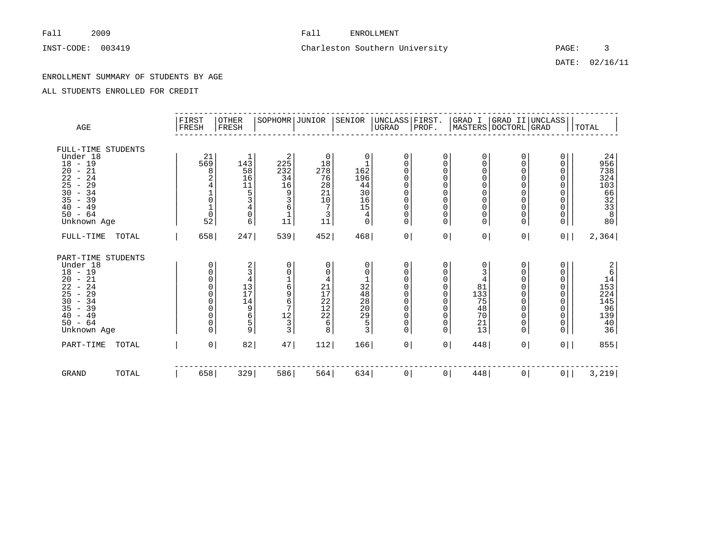# INST-CODE: 003419 Charleston Southern University PAGE: 3

DATE: 02/16/11

### ENROLLMENT SUMMARY OF STUDENTS BY AGE

| AGE                                                                                                                                                                                          |       | FIRST<br>FRESH                                                                          | OTHER<br>FRESH                                                        | SOPHOMR JUNIOR                                                   |                                                                            | SENIOR                                                                                                  | UNCLASS FIRST.<br> UGRAD  PROF.                                                                            |                                                       |                                                                                                                      |                                                | GRAD I  GRAD II UNCLASS <br> MASTERS DOCTORL GRAD | TOTAL                                                                                               |
|----------------------------------------------------------------------------------------------------------------------------------------------------------------------------------------------|-------|-----------------------------------------------------------------------------------------|-----------------------------------------------------------------------|------------------------------------------------------------------|----------------------------------------------------------------------------|---------------------------------------------------------------------------------------------------------|------------------------------------------------------------------------------------------------------------|-------------------------------------------------------|----------------------------------------------------------------------------------------------------------------------|------------------------------------------------|---------------------------------------------------|-----------------------------------------------------------------------------------------------------|
| FULL-TIME STUDENTS<br>Under 18<br>$18 - 19$<br>$-21$<br>20<br>22<br>24<br>$\sim$<br>25<br>29<br>$\sim$<br>30<br>$-34$<br>$\overline{35}$<br>$-39$<br>40<br>$-49$<br>$50 - 64$<br>Unknown Age |       | 21<br>569<br>8<br>2<br>4<br>$\frac{1}{0}$<br>$\frac{1}{0}$<br>52                        | $\mathbf 1$<br>143<br>58<br>16<br>11<br>5<br>$\overline{4}$<br>0<br>6 | 2<br>225<br>232<br>34<br>16<br>9<br>3<br>6<br>$\mathbf{1}$<br>11 | 0<br>18<br>278<br>76<br>28<br>21<br>10<br>7<br>3<br>$1\overline{1}$        | 0<br>$\mathbf{1}$<br>162<br>196<br>44<br>30<br>16<br>15<br>4<br>0                                       | 0<br>0<br>0<br>$\mathbf 0$<br>$\mathbf 0$<br>$\mathbf 0$<br>$\mathsf 0$<br>0<br>0<br>0                     | 0<br>0<br>0<br>0<br>$\Omega$<br>0<br>0<br>0<br>0<br>0 | 0<br>0<br>0<br>$\mathbf 0$<br>$\mathbf 0$<br>$\mathbf 0$<br>$\mathbf 0$<br>$\mathbf 0$<br>$\mathbf 0$<br>$\mathbf 0$ | 0<br>0<br>0<br>0<br>0<br>0<br>0<br>0<br>0<br>0 | 0<br>0<br>0<br>0<br>0<br>0<br>0<br>0<br>0<br>0    | 24<br>956<br>738<br>324<br>10366<br>3233<br>33880                                                   |
| FULL-TIME                                                                                                                                                                                    | TOTAL | 658                                                                                     | 247                                                                   | 539                                                              | 452                                                                        | 468                                                                                                     | 0                                                                                                          | 0 <sup>1</sup>                                        | 0                                                                                                                    | 0                                              | 0 <sup>1</sup>                                    | 2,364                                                                                               |
| PART-TIME STUDENTS<br>Under 18<br>$18 - 19$<br>$-21$<br>20<br>22<br>$-24$<br>25<br>29<br>$\sim$<br>30<br>$-34$<br>35<br>$-39$<br>40<br>$-49$<br>$50 - 64$<br>Unknown Age                     |       | 0<br>0<br>$\mathbf 0$<br>$\Omega$<br>0<br>$\Omega$<br>0<br>$\mathbf 0$<br>0<br>$\Omega$ | 2<br>3<br>4<br>13<br>17<br>14<br>9<br>6<br>5<br>9                     | 0<br>0<br>$1\,$<br>6<br>9<br>6<br>7<br>12<br>$\mathsf 3$<br>3    | 0<br>0<br>4<br>21<br>$17$<br>$22$<br>$12$<br>$22$<br>$\epsilon$<br>$\,8\,$ | 0<br>0<br>$\frac{1}{32}$<br>48<br>28<br>20 <sub>o</sub><br>$\begin{array}{c}\n 29 \\  53\n \end{array}$ | 0<br>0<br>0<br>$\mathbf 0$<br>$\mathbf 0$<br>$\mathbf 0$<br>$\mathsf 0$<br>$\mathbf 0$<br>0<br>$\mathbf 0$ | 0<br>0<br>0<br>0<br>0<br>0<br>0<br>0<br>0<br>$\Omega$ | 0<br>3<br>4<br>81<br>133<br>75<br>48<br>70<br>21<br>13                                                               | 0<br>0<br>0<br>0<br>0<br>0<br>0<br>0<br>0<br>0 | 0<br>0<br>0<br>0<br>0<br>0<br>0<br>0<br>$_0^0$    | $\begin{array}{r} 2 \\ 6 \\ 14 \\ 153 \\ 224 \\ \vdots \end{array}$<br>145<br>96<br>139<br>40<br>36 |
| PART-TIME                                                                                                                                                                                    | TOTAL | $\mathsf{O}$                                                                            | 82                                                                    | 47                                                               | 112                                                                        | 166                                                                                                     | 0                                                                                                          | 0 <sup>1</sup>                                        | 448                                                                                                                  | 0                                              | 0 <sup>1</sup>                                    | 855                                                                                                 |
| <b>GRAND</b>                                                                                                                                                                                 | TOTAL | 658                                                                                     | 329                                                                   | 586                                                              | 564                                                                        | 634                                                                                                     | 0                                                                                                          | 0 <sup>1</sup>                                        | 448                                                                                                                  | $\circ$                                        | 0                                                 | 3,219                                                                                               |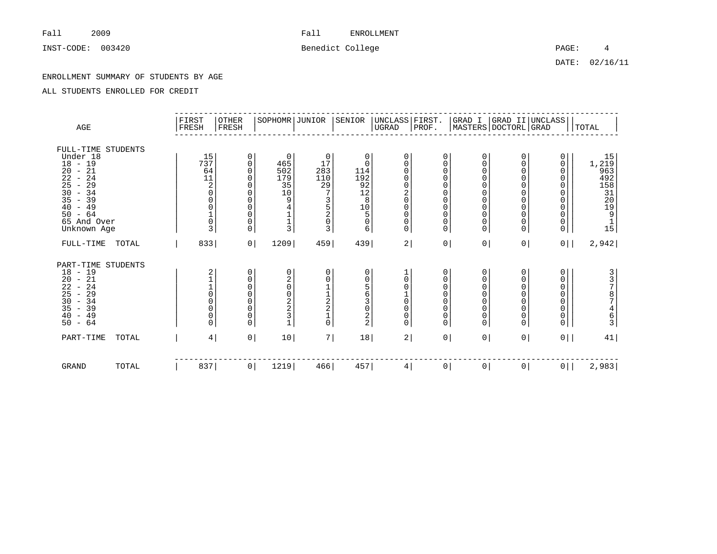INST-CODE: 003420 2000 Benedict College PAGE: 4

DATE: 02/16/11

### ENROLLMENT SUMMARY OF STUDENTS BY AGE

| AGE                                                                                                                                                                                                                                                                                                          | FIRST<br>FRESH | OTHER<br>FRESH                                                                               |                                                                                                                                                                                                                    | SOPHOMR JUNIOR                                            | SENIOR                                                                                       | UNCLASS   FIRST.<br>$_{\rm UGRAD}$                                                                                    | PROF.                                                                                                 |                                                                                                                                                         |                                                     | GRAD I  GRAD II UNCLASS <br> MASTERS DOCTORL GRAD                                         | TOTAL                                                                  |
|--------------------------------------------------------------------------------------------------------------------------------------------------------------------------------------------------------------------------------------------------------------------------------------------------------------|----------------|----------------------------------------------------------------------------------------------|--------------------------------------------------------------------------------------------------------------------------------------------------------------------------------------------------------------------|-----------------------------------------------------------|----------------------------------------------------------------------------------------------|-----------------------------------------------------------------------------------------------------------------------|-------------------------------------------------------------------------------------------------------|---------------------------------------------------------------------------------------------------------------------------------------------------------|-----------------------------------------------------|-------------------------------------------------------------------------------------------|------------------------------------------------------------------------|
| FULL-TIME STUDENTS<br>Under 18<br>$18 - 19$<br>21<br>20<br>$\sim$<br>22<br>24<br>$\overline{\phantom{a}}$<br>29<br>25<br>$\overline{\phantom{a}}$<br>30<br>$-34$<br>35<br>$-39$<br>$-49$<br>40<br>$-64$<br>50<br>65 And Over<br>Unknown Age                                                                  |                | 15<br>737<br>64<br>11<br>$^2_{\rm 0}$<br>0<br>$\begin{matrix} 0 \\ 1 \\ 0 \end{matrix}$<br>3 | 0<br>$\mathbf 0$<br>0<br>465<br>502<br>0<br>179<br>$\Omega$<br>35<br>0<br>10<br>0<br>0<br>9<br>$\mathsf 0$<br>$\overline{4}$<br>$\mathsf 0$<br>$\mathbf{1}$<br>$\mathbf{1}$<br>$\mathsf 0$<br>3<br>$\mathbf 0$     | 0<br>17<br>283<br>110<br>29<br>7<br>3<br>5<br>2<br>0<br>3 | 0<br>$\mathbf 0$<br>114<br>$\frac{192}{92}$<br>$\frac{12}{8}$<br>10<br>5<br>$\mathbf 0$<br>6 | $\mathbf 0$<br>0<br>$\Omega$<br>0<br>$\mathbf 0$<br>$^2_{\rm 0}$<br>$\mathbf 0$<br>$\mathbf 0$<br>0<br>$\overline{0}$ | 0<br>0<br>$\mathbf 0$<br>$\mathbf 0$<br>0<br>0<br>$\mathbf 0$<br>0<br>$\mathbf 0$<br>0<br>$\mathbf 0$ | 0<br>$\mathbf 0$<br>$\mathbf 0$<br>$\mathbf 0$<br>$\mathbf 0$<br>$\mathbf 0$<br>$\mathbf 0$<br>$\mathbf 0$<br>$\mathbf 0$<br>$\mathbf 0$<br>$\mathbf 0$ | 0<br>0<br>0<br>0<br>0<br>0<br>0<br>0<br>0<br>0<br>0 | 0<br>0<br>0<br>0<br>$\mathbf 0$<br>0<br>$\mathbf 0$<br>0<br>$\mathsf{O}\xspace$<br>0<br>0 | 15<br>$1,219$<br>963<br>492<br>158<br>31<br>20<br>20<br>19<br>15<br>15 |
| FULL-TIME<br>TOTAL                                                                                                                                                                                                                                                                                           |                | 833                                                                                          | 0 <br>1209                                                                                                                                                                                                         | 459                                                       | 439                                                                                          | 2                                                                                                                     | 0 <sup>1</sup>                                                                                        | 0                                                                                                                                                       | 0 <sup>1</sup>                                      | $0$                                                                                       | 2,942                                                                  |
| PART-TIME STUDENTS<br>18<br>19<br>$\sim$<br>20<br>$-21$<br>$\overline{2}\overline{2}$<br>24<br>$\overline{\phantom{a}}$<br>25<br>29<br>$\overline{\phantom{a}}$<br>$\begin{array}{c} 30 \\ 35 \end{array}$<br>$-34$<br>39<br>$\overline{\phantom{a}}$<br>40<br>49<br>$\overline{\phantom{a}}$<br>$-64$<br>50 |                | 2110000<br>$\mathbf 0$<br>$\Omega$                                                           | 0<br>$\begin{matrix} 0 \\ 2 \\ 0 \end{matrix}$<br>0<br>$\mathbf 0$<br>$\mathsf{O}\xspace$<br>$\mathbf 0$<br>$\mathsf{O}\xspace$<br>$\begin{array}{c}\n2 \\ 2 \\ 3\n\end{array}$<br>$\mathsf 0$<br>$\mathsf 0$<br>0 | 0<br>0<br>$1122$<br>$210$                                 | 0<br>0<br>$\overline{5}$<br>6<br>$\frac{3}{0}$<br>$\mathbf{2}$<br>2                          | $\Omega$<br>$\Omega$<br>$\mathbf 0$<br>$\mathbf 0$<br>$\mathsf 0$<br>$\mathbf 0$                                      | 0<br>$\mathbf 0$<br>$\Omega$<br>$\Omega$<br>$\mathbf 0$<br>$\mathbf 0$<br>$\mathbf 0$<br>0            | 0<br>$\mathbf 0$<br>$\overline{0}$<br>$\overline{0}$<br>$\mathbf 0$<br>$\mathbf 0$<br>$\mathbf 0$<br>$\overline{0}$                                     | 0<br>0<br>0<br>0<br>0<br>0<br>0<br>0                | 0<br>0<br>0<br>$\mathsf{O}\xspace$<br>$\overline{0}$<br>0<br>$\mathsf{O}\xspace$<br>0     | 33787<br>$\begin{array}{c} 4 \\ 6 \\ 3 \end{array}$                    |
| PART-TIME<br>TOTAL                                                                                                                                                                                                                                                                                           |                | $\overline{4}$                                                                               | $\overline{0}$<br>10                                                                                                                                                                                               | 7                                                         | 18                                                                                           | 2                                                                                                                     | $\overline{0}$                                                                                        | 0 <sup>1</sup>                                                                                                                                          | $\mathsf{O}$                                        | 0 <sup>1</sup>                                                                            | 41                                                                     |
| <b>GRAND</b><br>TOTAL                                                                                                                                                                                                                                                                                        |                | 837                                                                                          | 1219<br> 0                                                                                                                                                                                                         | 466                                                       | 457                                                                                          | 4                                                                                                                     | $\overline{0}$                                                                                        | 0 <sup>1</sup>                                                                                                                                          | 0 <sup>1</sup>                                      | 0 <sup>1</sup>                                                                            | 2,983                                                                  |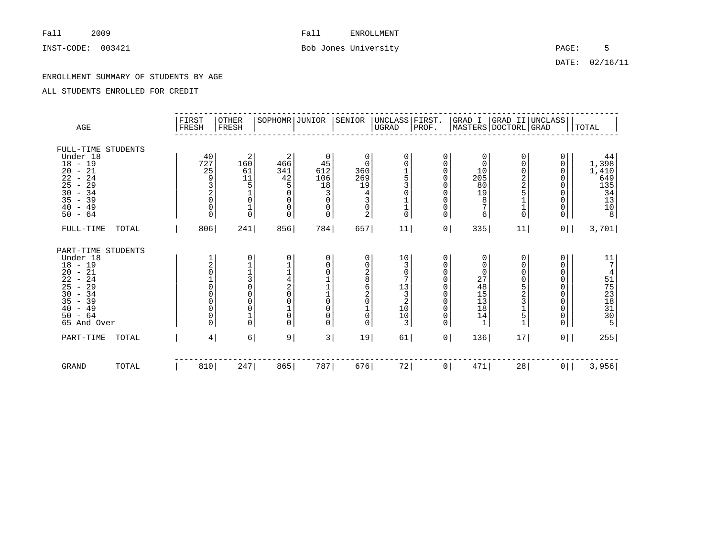# INST-CODE: 003421 **Bob Jones University Bob Jones University PAGE:** 5

DATE: 02/16/11

### ENROLLMENT SUMMARY OF STUDENTS BY AGE

| AGE                                                                                                                                                                                                                                                                                   |       | FIRST<br>FRESH                                                                                                                         | OTHER<br>FRESH                                                                                                                                            | SOPHOMR JUNIOR                                                                                     |                                                                                              | SENIOR                                                                                           | UNCLASS FIRST.<br> UGRAD  PROF.                                                         |                                                                                                                                       |                                                                                     |                                                    | GRAD I   GRAD II   UNCLASS  <br>MASTERS   DOCTORL   GRAD                                                                                   | TOTAL                                                       |
|---------------------------------------------------------------------------------------------------------------------------------------------------------------------------------------------------------------------------------------------------------------------------------------|-------|----------------------------------------------------------------------------------------------------------------------------------------|-----------------------------------------------------------------------------------------------------------------------------------------------------------|----------------------------------------------------------------------------------------------------|----------------------------------------------------------------------------------------------|--------------------------------------------------------------------------------------------------|-----------------------------------------------------------------------------------------|---------------------------------------------------------------------------------------------------------------------------------------|-------------------------------------------------------------------------------------|----------------------------------------------------|--------------------------------------------------------------------------------------------------------------------------------------------|-------------------------------------------------------------|
| FULL-TIME STUDENTS<br>Under 18<br>$18 - 19$<br>21<br>20<br>$\overline{\phantom{a}}$<br>22<br>-24<br>$\overline{\phantom{a}}$<br>25<br>29<br>$\overline{\phantom{a}}$<br>30<br>$-34$<br>35<br>$-39$<br>$-49$<br>40<br>50<br>$-64$                                                      |       | 40<br>727<br>25<br>9<br>3<br>$\frac{2}{0}$<br>0<br>0                                                                                   | 2<br>160<br>61<br>11<br>5<br>$\begin{matrix} 0 \\ 1 \\ 0 \end{matrix}$                                                                                    | $\overline{2}$<br>466<br>341<br>42<br>5<br>$\Omega$<br>$\Omega$<br>0<br>0                          | 0<br>45<br>612<br>106<br>18<br>3<br>$\mathbf 0$<br>0<br>0                                    | 0<br>0<br>360<br>269<br>19<br>4<br>3<br>$\mathsf 0$<br>2                                         | $\mathbf 0$<br>$\Omega$<br>$\frac{1}{5}$<br>$\mathbf 0$<br>$\frac{1}{1}$<br>$\mathbf 0$ | 0<br>0<br>$\mathbf 0$<br>$\mathbf 0$<br>$\mathbf 0$<br>$\mathbf 0$<br>$\mathbf 0$<br>$\mathsf{O}$<br>$\mathbf 0$                      | 0<br>0<br>10<br>205<br>80<br>19<br>8<br>$\overline{7}$<br>6                         | 0<br>0<br>0,2,2,5<br>$\mathbf 1$<br>0              | 0<br>0<br>0<br>$\mathbf 0$<br>0<br>0<br>0<br>0<br>0                                                                                        | 44<br>1,398<br>$1,410$<br>649<br>135<br>34<br>13<br>10<br>8 |
| FULL-TIME                                                                                                                                                                                                                                                                             | TOTAL | 806                                                                                                                                    | 241                                                                                                                                                       | 856                                                                                                | 784                                                                                          | 657                                                                                              | 11                                                                                      | 0 <sup>1</sup>                                                                                                                        | 335                                                                                 | 11                                                 | 0 <sup>1</sup>                                                                                                                             | 3,701                                                       |
| PART-TIME STUDENTS<br>Under 18<br>$18 - 19$<br>$-21$<br>20<br>22<br>24<br>$\overline{\phantom{a}}$<br>25<br>29<br>$\overline{\phantom{a}}$<br>$\frac{30}{35}$<br>34<br>$\sim$<br>39<br>$\overline{\phantom{a}}$<br>49<br>40<br>$\overline{\phantom{a}}$<br>$-64$<br>50<br>65 And Over |       | $\frac{1}{2}$<br>$\mathsf{O}\xspace$<br>$\overline{0}$<br>$\begin{matrix} 0 \\ 0 \\ 0 \end{matrix}$<br>$\mathsf{O}\xspace$<br>$\Omega$ | 0<br>$\mathbf{1}$<br>$\begin{array}{c}\n1 \\ 3 \\ 0\n\end{array}$<br>$\mathsf 0$<br>$\overline{0}$<br>$\begin{matrix} 0 \\ 1 \end{matrix}$<br>$\mathbf 0$ | 0<br>$\begin{array}{c} 1 \\ 4 \\ 2 \end{array}$<br>$\Omega$<br>$\Omega$<br>$\mathbf 0$<br>$\Omega$ | 0<br>0<br>0<br>$\begin{array}{c}\n1 \\ 1 \\ 0\n\end{array}$<br>0<br>$\mathsf{O}\xspace$<br>0 | 0<br>0<br>$\frac{2}{8}$<br>$\overline{6}$<br>$^2_{\rm 0}$<br>$1\,$<br>$\mathbf 0$<br>$\mathbf 0$ | $10$<br>3<br>$\mathbf 0$<br>7<br>13<br>$\mathbf{3}$<br>2<br>$\frac{10}{10}$<br>3        | 0<br>$\mathbf 0$<br>$\mathbf 0$<br>$\Omega$<br>$\mathbf 0$<br>$\mathbf 0$<br>$\mathbf 0$<br>$\mathbf 0$<br>$\mathbf 0$<br>$\mathbf 0$ | 0<br>$\mathbf 0$<br>$\mathbf 0$<br>27<br>48<br>15<br>13<br>18<br>14<br>$\mathbf{1}$ | 0<br>0<br>0<br>0<br>$\frac{5}{2}$<br>$\frac{1}{5}$ | 0<br>0<br>0<br>0<br>0<br>$\mathsf{O}\xspace$<br>$\mathsf{O}\xspace$<br>$\mathsf{O}\xspace$<br>$\begin{smallmatrix} 0\\0 \end{smallmatrix}$ | $\begin{array}{c} 11 \\ 7 \end{array}$<br>41575381305       |
| PART-TIME                                                                                                                                                                                                                                                                             | TOTAL | $\overline{4}$                                                                                                                         | $6 \mid$                                                                                                                                                  | 9                                                                                                  | 3                                                                                            | 19                                                                                               | 61                                                                                      | $\overline{0}$                                                                                                                        | 136                                                                                 | 17                                                 | $0$                                                                                                                                        | 255                                                         |
| <b>GRAND</b>                                                                                                                                                                                                                                                                          | TOTAL | 810                                                                                                                                    | 247                                                                                                                                                       | 865                                                                                                | 787                                                                                          | 676                                                                                              | 72                                                                                      | $\circ$                                                                                                                               | 471                                                                                 | 28                                                 | 0 <sup>1</sup>                                                                                                                             | 3,956                                                       |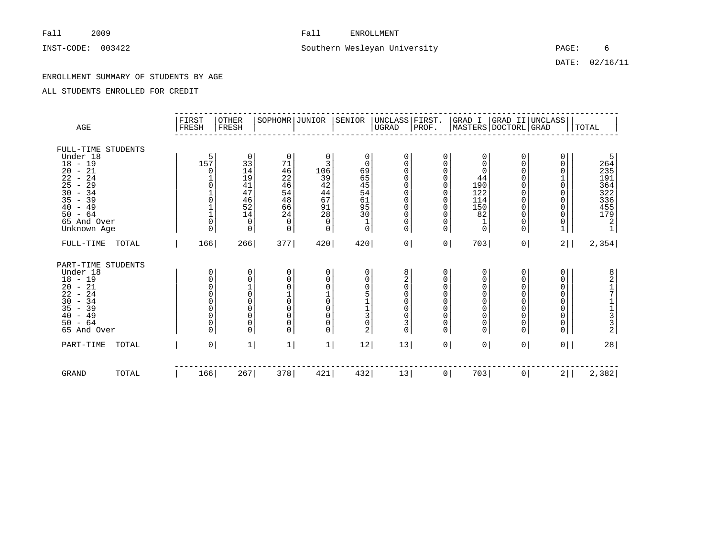# INST-CODE: 003422 Southern Wesleyan University PAGE: 6

DATE: 02/16/11

### ENROLLMENT SUMMARY OF STUDENTS BY AGE

| AGE                                                                                                                                                                              | FIRST<br>FRESH                            | OTHER<br>FRESH                                                               | SOPHOMR JUNIOR                                                                         |                                                                       | SENIOR                                                                                    | UNCLASS FIRST.<br> UGRAD  PROF.                                                                                                  |                                                                                                                                |                                                                                                              |                                                                                 | GRAD I   GRAD II   UNCLASS  <br>MASTERS   DOCTORL   GRAD                | TOTAL                                                                            |
|----------------------------------------------------------------------------------------------------------------------------------------------------------------------------------|-------------------------------------------|------------------------------------------------------------------------------|----------------------------------------------------------------------------------------|-----------------------------------------------------------------------|-------------------------------------------------------------------------------------------|----------------------------------------------------------------------------------------------------------------------------------|--------------------------------------------------------------------------------------------------------------------------------|--------------------------------------------------------------------------------------------------------------|---------------------------------------------------------------------------------|-------------------------------------------------------------------------|----------------------------------------------------------------------------------|
| FULL-TIME STUDENTS<br>Under 18<br>$18 - 19$<br>$20 - 21$<br>22<br>$-24$<br>25<br>$-29$<br>30<br>$-34$<br>35<br>$-39$<br>$-49$<br>40<br>$-64$<br>50<br>65 And Over<br>Unknown Age | 5<br>157<br>$\Omega$<br>0<br>$\Omega$     | 0<br>33<br>14<br>19<br>41<br>47<br>46<br>52<br>14<br>$\mathbf 0$<br>$\Omega$ | $\mathbf 0$<br>71<br>46<br>22<br>46<br>54<br>48<br>66<br>24<br>$\mathbf 0$<br>$\Omega$ | 0<br>3<br>106<br>39<br>42<br>44<br>67<br>91<br>28<br>$\mathbf 0$<br>0 | $\mathbf 0$<br>$\mathbf 0$<br>69<br>65<br>$\frac{45}{54}$<br>61<br>95<br>30<br>$1\,$<br>0 | 0<br>$\Omega$<br>$\Omega$<br>0<br>$\mathbf 0$<br>$\mathbf 0$<br>$\mathbf 0$<br>$\mathbf 0$<br>$\mathbf 0$<br>0<br>$\overline{0}$ | 0<br>$\Omega$<br>$\Omega$<br>$\mathbf 0$<br>$\Omega$<br>$\Omega$<br>$\mathbf 0$<br>$\Omega$<br>$\mathbf 0$<br>0<br>$\mathbf 0$ | 0<br>$\Omega$<br>$\Omega$<br>44<br>190<br>122<br>114<br>150<br>82<br>$1\,$<br>$\overline{0}$                 | 0<br>0<br>$\Omega$<br>$\Omega$<br>$\Omega$<br>$\Omega$<br>0<br>0<br>0<br>0<br>0 | 0<br>0<br>0<br>0<br>0<br>0<br>0<br>0<br>0<br>$\mathbf{1}$               | 5<br>264<br>235<br>191<br>$364$<br>$322$<br>$336$<br>455<br>179<br>$\frac{2}{1}$ |
| FULL-TIME<br>TOTAL                                                                                                                                                               | 166                                       | 266                                                                          | 377                                                                                    | 420                                                                   | 420                                                                                       | 0                                                                                                                                | 0 <sup>1</sup>                                                                                                                 | 703                                                                                                          | 0 <sup>1</sup>                                                                  | 2                                                                       | 2,354                                                                            |
| PART-TIME STUDENTS<br>Under 18<br>$18 - 19$<br>$20 - 21$<br>22<br>$-24$<br>30<br>$-34$<br>35<br>$-39$<br>40<br>$-49$<br>50<br>$-64$<br>65 And Over                               | 0<br>0<br>0<br>0<br>0<br>0<br>0<br>0<br>0 | $\Omega$<br>$\Omega$<br>$\Omega$<br>$\Omega$<br>0<br>0<br>0<br>$\Omega$      | 0<br>$\Omega$<br>$\mathbf 0$<br>$\mathbf 0$<br>$\Omega$<br>$\Omega$<br>0<br>$\Omega$   | 0<br>0<br>0<br>$1\,$<br>0<br>0<br>0<br>0<br>0                         | 0<br>0<br>0<br>5<br>$\begin{array}{c} 1 \\ 1 \\ 3 \end{array}$<br>0<br>2                  | 8<br>2<br>$\mathbf 0$<br>$\mathbf 0$<br>0<br>0<br>$\mathbf 0$<br>3<br>$\mathbf 0$                                                | 0<br>$\mathbf 0$<br>$\Omega$<br>0<br>0<br>$\mathbf 0$<br>$\mathbf 0$<br>0<br>$\Omega$                                          | 0<br>0<br>$\mathbf 0$<br>$\mathbf 0$<br>$\mathbf 0$<br>$\mathbf 0$<br>$\mathbf 0$<br>$\mathbf 0$<br>$\Omega$ | 0<br>0<br>0<br>0<br>0<br>0<br>0<br>0<br>0                                       | 0<br>0<br>0<br>0<br>0<br>0<br>0<br>$\begin{matrix} 0 \\ 0 \end{matrix}$ | 8<br>2<br>1<br>7<br>$\begin{array}{c}\n1 \\ 1 \\ 3 \\ 2\n\end{array}$            |
| PART-TIME<br>TOTAL                                                                                                                                                               | 0                                         | $\mathbf{1}$                                                                 | 1                                                                                      | $\mathbf{1}$                                                          | 12                                                                                        | 13                                                                                                                               | 0 <sup>1</sup>                                                                                                                 | 0                                                                                                            | 0 <sup>1</sup>                                                                  | $0$                                                                     | 28                                                                               |
| <b>GRAND</b><br>TOTAL                                                                                                                                                            | 166                                       | 267                                                                          | 378                                                                                    | 421                                                                   | 432                                                                                       | 13                                                                                                                               | $\circ$                                                                                                                        | 703                                                                                                          | 0 <sup>1</sup>                                                                  | $2$                                                                     | 2,382                                                                            |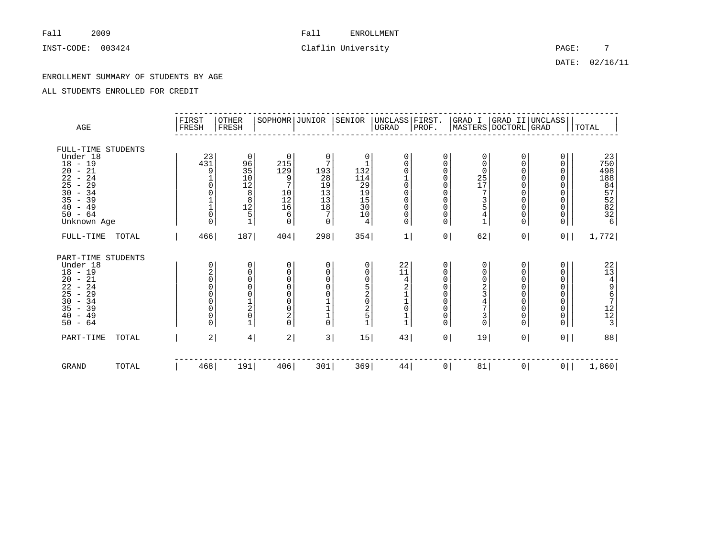INST-CODE: 003424 Claflin University PAGE: 7

DATE: 02/16/11

### ENROLLMENT SUMMARY OF STUDENTS BY AGE

| $\rm{AGE}$                                                                                                                                                                                                                                                                                |       | FIRST<br>FRESH                                                      | <b>OTHER</b><br>FRESH                                                                                                                                            | SOPHOMR JUNIOR                                                                                                                           |                                                                                                                | SENIOR                                                             | UNCLASS   FIRST.<br>UGRAD                                                                                                                    | PROF.                                                                                                                |                                                                                             |                                                                                                                          | GRAD I  GRAD II UNCLASS <br> MASTERS DOCTORL GRAD                                              | TOTAL                                                 |
|-------------------------------------------------------------------------------------------------------------------------------------------------------------------------------------------------------------------------------------------------------------------------------------------|-------|---------------------------------------------------------------------|------------------------------------------------------------------------------------------------------------------------------------------------------------------|------------------------------------------------------------------------------------------------------------------------------------------|----------------------------------------------------------------------------------------------------------------|--------------------------------------------------------------------|----------------------------------------------------------------------------------------------------------------------------------------------|----------------------------------------------------------------------------------------------------------------------|---------------------------------------------------------------------------------------------|--------------------------------------------------------------------------------------------------------------------------|------------------------------------------------------------------------------------------------|-------------------------------------------------------|
| FULL-TIME STUDENTS<br>Under 18<br>$18 - 19$<br>21<br>20<br>$\overline{\phantom{a}}$<br>22<br>24<br>$\overline{\phantom{a}}$<br>25<br>29<br>$\overline{\phantom{a}}$<br>30<br>$-34$<br>35<br>39<br>$\sim$<br>40<br>$-49$<br>$50 - 64$<br>Unknown Age                                       |       | 23<br>431<br>9<br>$\mathsf{O}\xspace$<br>$\Omega$                   | 0<br>96<br>$\begin{array}{c} 35 \\ 10 \end{array}$<br>$\begin{array}{c}\n 12 \\  8 \\  8\n \end{array}$<br>$\begin{array}{c} 12 \\ 5 \end{array}$<br>$\mathbf 1$ | $\mathbf 0$<br>215<br>129<br>9<br>7<br>$\begin{smallmatrix}1&0\\1&2\end{smallmatrix}$<br>16<br>6<br>$\mathbf 0$                          | 0<br>7<br>193<br>28<br>$\begin{array}{c} 19 \\ 13 \end{array}$<br>13<br>$18\,$<br>7<br>$\mathsf{O}$            | 0<br>132<br>$\frac{114}{29}$<br>19<br>15<br>30<br>10<br>4          | 0<br>0<br>$\mathsf 0$<br>$\begin{matrix} 1 \\ 0 \\ 0 \\ 0 \end{matrix}$<br>$\mathsf{O}\xspace$<br>$\ddot{\mathbf{0}}$<br>$\mathsf{O}\xspace$ | $\mathbf 0$<br>0<br>$\mathbf 0$<br>$\mathbf 0$<br>$\mathbf 0$<br>$\mathbf 0$<br>$\mathbf 0$<br>$\mathbf 0$<br>0<br>0 | 0<br>$\Omega$<br>0<br>$\frac{25}{17}$<br>7<br>$rac{3}{5}$<br>$\overline{4}$<br>$\mathbf{1}$ | 0<br>$\mathbf 0$<br>$\Omega$<br>$\mathbf 0$<br>$\mathbf 0$<br>$\mathbf 0$<br>$\mathbf 0$<br>0<br>$\mathsf 0$<br>$\Omega$ | 0<br>0<br>0<br>0<br>0<br>0<br>0<br>$\mathsf 0$<br>$\mathsf{O}\xspace$<br>0                     | 23<br>750<br>4988472226                               |
| FULL-TIME                                                                                                                                                                                                                                                                                 | TOTAL | 466                                                                 | 187                                                                                                                                                              | 404                                                                                                                                      | 298                                                                                                            | 354                                                                | 1                                                                                                                                            | 0 <sup>1</sup>                                                                                                       | 62                                                                                          | 0                                                                                                                        | $0$                                                                                            | 1,772                                                 |
| PART-TIME STUDENTS<br>Under 18<br>$18 - 19$<br>$-21$<br>20<br>$\overline{2}\overline{2}$<br>24<br>$\overline{\phantom{a}}$<br>25<br>29<br>$\overline{\phantom{m}}$<br>30<br>34<br>$\equiv$<br>35<br>39<br>$\overline{\phantom{a}}$<br>49<br>40<br>$\overline{\phantom{a}}$<br>$-64$<br>50 |       | 0<br>$^2_{\rm 0}$<br>$\Omega$<br>$\overline{0}$<br>0<br>0<br>0<br>0 | 0<br>0<br>000120<br>$\mathbf{1}$                                                                                                                                 | 0<br>$\mathbf 0$<br>$\Omega$<br>$\Omega$<br>$\overline{0}$<br>$\mathbf 0$<br>$\overline{0}$<br>$\overline{\mathbf{c}}$<br>$\overline{0}$ | $\begin{matrix} 0 \\ 0 \\ 0 \\ 0 \end{matrix}$<br>$\bar{0}$<br>$\begin{array}{c} 1 \\ 1 \\ 1 \\ 0 \end{array}$ | 0<br>0<br>0<br>5<br>$\frac{2}{0}$<br>$\frac{2}{5}$<br>$\mathbf{1}$ | 22<br>11<br>42110<br>$\begin{smallmatrix}1\\1\end{smallmatrix}$                                                                              | 0<br>$\mathbf 0$<br>$\Omega$<br>$\Omega$<br>$\Omega$<br>$\Omega$<br>$\Omega$<br>0<br>$\Omega$                        | 0<br>$\mathsf 0$<br>02347<br>$\frac{3}{0}$                                                  | 0<br>$\mathbf 0$<br>$\Omega$<br>$\Omega$<br>$\mathbf 0$<br>$\mathbf 0$<br>$\mathbf 0$<br>$\mathbf 0$<br>$\mathbf 0$      | 0<br>0<br>$\mathbf 0$<br>0<br>$\mathbf 0$<br>$\mathbf 0$<br>0<br>$\mathsf 0$<br>$\overline{0}$ | 22<br>13<br>4<br>9<br>6<br>7<br>2<br>2<br>1<br>2<br>3 |
| PART-TIME                                                                                                                                                                                                                                                                                 | TOTAL | 2                                                                   | $4\vert$                                                                                                                                                         | 2                                                                                                                                        | 3                                                                                                              | 15                                                                 | 43                                                                                                                                           | 0                                                                                                                    | 19                                                                                          | 0                                                                                                                        | $0$                                                                                            | 88                                                    |
| GRAND                                                                                                                                                                                                                                                                                     | TOTAL | 468                                                                 | 191                                                                                                                                                              | 406                                                                                                                                      | 301                                                                                                            | 369                                                                | 44                                                                                                                                           | $\circ$                                                                                                              | 81                                                                                          | 0                                                                                                                        | $0$                                                                                            | 1,860                                                 |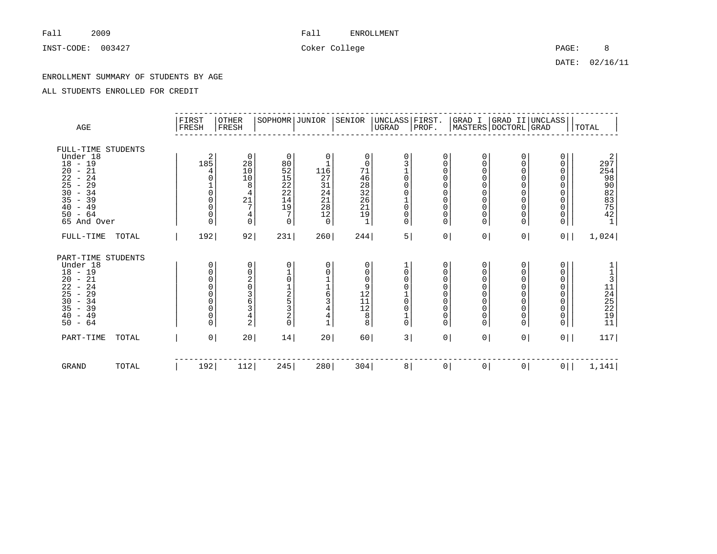INST-CODE: 003427 Coker College College PAGE: 8

DATE: 02/16/11

### ENROLLMENT SUMMARY OF STUDENTS BY AGE

| AGE                                                                                                                                                                                                                                                                                           | FIRST<br>FRESH |                                                                                             | <b>OTHER</b><br>FRESH                                                                | SOPHOMR JUNIOR                                                                                |                                                                                                            | SENIOR                                                                         | UNCLASS   FIRST.<br>$_{\rm UGRAD}$                                          | PROF.                                                                                                  |                                                                                                                                             |                                                  | GRAD I  GRAD II UNCLASS <br> MASTERS DOCTORL GRAD                                          | TOTAL                                               |
|-----------------------------------------------------------------------------------------------------------------------------------------------------------------------------------------------------------------------------------------------------------------------------------------------|----------------|---------------------------------------------------------------------------------------------|--------------------------------------------------------------------------------------|-----------------------------------------------------------------------------------------------|------------------------------------------------------------------------------------------------------------|--------------------------------------------------------------------------------|-----------------------------------------------------------------------------|--------------------------------------------------------------------------------------------------------|---------------------------------------------------------------------------------------------------------------------------------------------|--------------------------------------------------|--------------------------------------------------------------------------------------------|-----------------------------------------------------|
| FULL-TIME STUDENTS<br>Under 18<br>$18 - 19$<br>21<br>20<br>$\sim$<br>22<br>24<br>$\overline{\phantom{a}}$<br>25<br>29<br>$\overline{\phantom{a}}$<br>30<br>$-34$<br>35<br>$-39$<br>$-49$<br>40<br>$-64$<br>50<br>65 And Over                                                                  |                | 2<br>185<br>4<br>$\overline{0}$<br>0<br>$\mathsf{O}\xspace$<br>0<br>0                       | 0<br>28<br>10<br>10<br>8<br>$\frac{4}{21}$<br>4<br>0                                 | $\mathbf 0$<br>80<br>52<br>52<br>22<br>22<br>14<br>19<br>7<br>$\mathbf 0$                     | 0<br>$\mathbf{1}$<br>116<br>27<br>$\begin{array}{c} 31 \\ 24 \end{array}$<br>21<br>28<br>12<br>$\mathsf 0$ | 0<br>$\mathbf 0$<br>71<br>$46\,$<br>$\frac{28}{32}$<br>26<br>21<br>19<br>$1\,$ | $\mathbf 0$<br>$\mathbf 0$<br>$\mathbf 0$<br>0<br>$\mathbf 0$<br>0<br>0     | 0<br>$\mathbf 0$<br>$\mathbf 0$<br>$\mathbf 0$<br>0<br>0<br>$\mathbf 0$<br>0<br>0<br>$\mathbf 0$       | 0<br>$\mathbf 0$<br>$\mathbf 0$<br>$\overline{0}$<br>$\mathbf 0$<br>$\mathbf 0$<br>$\mathbf 0$<br>$\mathbf 0$<br>$\mathbf 0$<br>$\mathbf 0$ | 0<br>0<br>0<br>0<br>0<br>0<br>0<br>0<br>0<br>0   | 0<br>0<br>0<br>0<br>$\mathbf 0$<br>0<br>0<br>$\mathsf{O}\xspace$<br>0<br>0                 | 2974802335421                                       |
| FULL-TIME<br>TOTAL                                                                                                                                                                                                                                                                            |                | 192                                                                                         | 92                                                                                   | 231                                                                                           | 260                                                                                                        | 244                                                                            | 5                                                                           | 0 <sup>1</sup>                                                                                         | 0                                                                                                                                           | 0 <sup>1</sup>                                   | $0$                                                                                        | 1,024                                               |
| PART-TIME STUDENTS<br>Under 18<br>$18 - 19$<br>20<br>$-21$<br>$\overline{2}\overline{2}$<br>24<br>$\overline{\phantom{a}}$<br>25<br>29<br>$\overline{\phantom{a}}$<br>$-34$<br>30<br>$\overline{35}$<br>39<br>$\overline{\phantom{a}}$<br>40<br>49<br>$\overline{\phantom{a}}$<br>$-64$<br>50 |                | 0<br>0<br>0<br>$\overline{0}$<br>$\begin{matrix} 0 \\ 0 \\ 0 \end{matrix}$<br>0<br>$\Omega$ | 0<br>$\begin{matrix} 0 \\ 2 \\ 0 \end{matrix}$<br>3<br>6<br>3<br>4<br>$\overline{2}$ | 0<br>$\begin{matrix} 1 \\ 0 \end{matrix}$<br>$\frac{1}{2}$<br>3<br>$\overline{a}$<br>$\Omega$ | 0<br>$\mathbf 0$<br>$\frac{1}{1}$ 63<br>4<br>4<br>$\mathbf 1$                                              | 0<br>0<br>$\mathbf 0$<br>9<br>$\frac{12}{11}$<br>$\,8\,$<br>8                  | 0<br>$\Omega$<br>$\Omega$<br>$\mathbf 0$<br>$\mathbf 0$<br>1<br>$\mathbf 0$ | 0<br>$\mathbf 0$<br>$\Omega$<br>$\Omega$<br>$\Omega$<br>$\mathbf 0$<br>$\mathbf 0$<br>$\mathbf 0$<br>0 | 0<br>$\mathbf 0$<br>$\overline{0}$<br>$\Omega$<br>$\overline{0}$<br>$\mathbf 0$<br>$\mathbf 0$<br>$\mathbf 0$<br>$\overline{0}$             | 0<br>0<br>0<br>$\Omega$<br>0<br>0<br>0<br>0<br>0 | 0<br>0<br>0<br>0<br>$\mathsf{O}\xspace$<br>$\overline{0}$<br>0<br>$\mathsf{O}\xspace$<br>0 | 1<br>1<br>3<br>1<br>2<br>2<br>2<br>2<br>1<br>1<br>1 |
| PART-TIME<br>TOTAL                                                                                                                                                                                                                                                                            |                | 0 <sup>1</sup>                                                                              | 20 <sub>o</sub>                                                                      | 14                                                                                            | 20                                                                                                         | 60                                                                             | 3                                                                           | $\overline{0}$                                                                                         | 0 <sup>1</sup>                                                                                                                              | $\mathsf{O}$                                     | 0                                                                                          | 117                                                 |
| <b>GRAND</b><br>TOTAL                                                                                                                                                                                                                                                                         |                | 192                                                                                         | 112                                                                                  | 245                                                                                           | 280                                                                                                        | 304                                                                            | 8                                                                           | $\overline{0}$                                                                                         | 0 <sup>1</sup>                                                                                                                              | 0 <sup>1</sup>                                   | 0 <sup>1</sup>                                                                             | 1,141                                               |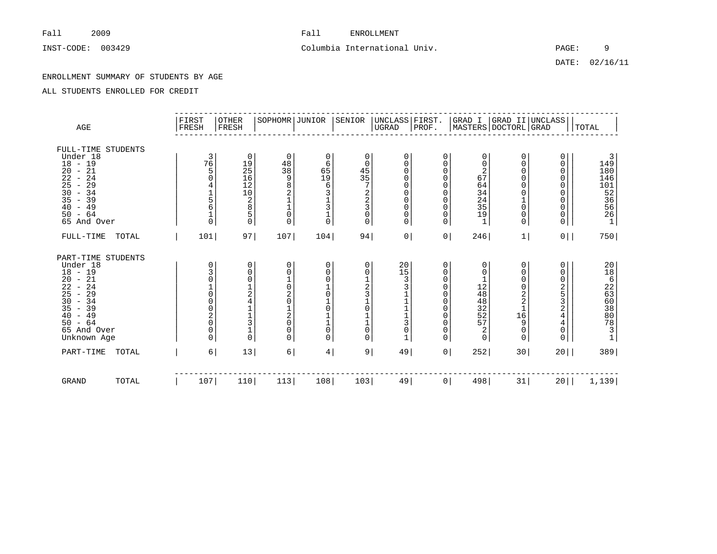# INST-CODE: 003429 Columbia International Univ. PAGE: 9

DATE: 02/16/11

### ENROLLMENT SUMMARY OF STUDENTS BY AGE

| AGE                                                                                                                                                                                        |       | FIRST<br>FRESH                                            | OTHER<br>FRESH                                                                                                                                          | SOPHOMR JUNIOR                                                                                                                                         |                                                                                                                              | SENIOR                                                                                 | UNCLASS FIRST.<br> UGRAD  PROF.                                                                            |                                                                                        |                                                                                                  |                                                                                                                     | GRAD I  GRAD II UNCLASS <br> MASTERS DOCTORL GRAD                                                                                            | <b>TOTAL</b>                                                                                                              |
|--------------------------------------------------------------------------------------------------------------------------------------------------------------------------------------------|-------|-----------------------------------------------------------|---------------------------------------------------------------------------------------------------------------------------------------------------------|--------------------------------------------------------------------------------------------------------------------------------------------------------|------------------------------------------------------------------------------------------------------------------------------|----------------------------------------------------------------------------------------|------------------------------------------------------------------------------------------------------------|----------------------------------------------------------------------------------------|--------------------------------------------------------------------------------------------------|---------------------------------------------------------------------------------------------------------------------|----------------------------------------------------------------------------------------------------------------------------------------------|---------------------------------------------------------------------------------------------------------------------------|
| FULL-TIME STUDENTS<br>Under 18<br>$18 - 19$<br>$20 - 21$<br>22<br>$-24$<br>25<br>29<br>$\overline{\phantom{a}}$<br>30<br>$-34$<br>35<br>$-39$<br>40<br>$-49$<br>$-64$<br>50<br>65 And Over |       | 3<br>76<br>5<br>$\frac{1}{5}$<br>6<br>$\Omega$            | 0<br>$\begin{array}{c} 19 \\ 25 \end{array}$<br>$\overline{16}$<br>12<br>$\begin{smallmatrix}1&0\\2\end{smallmatrix}$<br>$\,8\,$<br>$\overline{5}$<br>0 | 0<br>$\begin{array}{c} 48 \\ 38 \end{array}$<br>9<br>8<br>$\overline{c}$<br>$\mathbf{1}$<br>$\overline{0}$<br>$\Omega$                                 | 0<br>6<br>65<br>19<br>$\epsilon$<br>3<br>$\begin{array}{c} 1 \\ 3 \\ 1 \\ 0 \end{array}$                                     | 0<br>0<br>$\frac{45}{35}$<br>7<br>$\begin{array}{c} 2 \\ 2 \\ 3 \\ 0 \end{array}$<br>0 | 0<br>0<br>$\mathbf 0$<br>$\mathbf 0$<br>$\mathbf 0$<br>0<br>$\mathbf 0$<br>$\mathbf 0$<br>$\mathbf 0$<br>0 | 0<br>0<br>0<br>0<br>0<br>$\Omega$<br>0<br>0<br>0<br>$\Omega$                           | 0<br>0<br>$\overline{2}$<br>$6\overline{7}$<br>64<br>$\frac{34}{24}$<br>35<br>19<br>$\mathbf{1}$ | 0<br>0<br>0<br>0<br>$\mathbf 0$<br>$\mathsf{O}\xspace$<br>$\mathbf{1}$<br>$\mathsf 0$<br>$\mathsf 0$<br>$\mathbf 0$ | 0<br>0<br>0<br>0<br>0<br>0<br>0<br>0<br>0<br>0                                                                                               | $\begin{array}{c} 3 \\ 149 \\ 180 \end{array}$<br>146<br>$\begin{bmatrix} 101 \\ 52 \\ 36 \\ 56 \\ 26 \\ 1 \end{bmatrix}$ |
| FULL-TIME                                                                                                                                                                                  | TOTAL | 101                                                       | 97                                                                                                                                                      | 107                                                                                                                                                    | 104                                                                                                                          | 94                                                                                     | 0 <sup>1</sup>                                                                                             | 0 <sup>1</sup>                                                                         | 246                                                                                              | 1                                                                                                                   | 0 <sup>1</sup>                                                                                                                               | 750                                                                                                                       |
| PART-TIME STUDENTS<br>Under 18<br>$18 - 19$<br>$20 - 21$<br>22<br>$-24$<br>25<br>$-29$<br>30<br>$-34$<br>35<br>$-39$<br>$-49$<br>40<br>$-64$<br>50<br>65 And Over<br>Unknown Age           |       | 0<br>$\frac{3}{0}$<br>0<br>$\frac{2}{0}$<br>0<br>$\Omega$ | 0<br>0<br>$\bar{0}$<br>$\frac{1}{2}$<br>$\mathbf{1}$<br>$\frac{3}{1}$<br>0                                                                              | 0<br>$\boldsymbol{0}$<br>$\frac{1}{0}$<br>$\overline{2}$<br>$\mathbf 0$<br>$\mathbf{1}$<br>$\overline{c}$<br>$\overline{0}$<br>$\mathbf 0$<br>$\Omega$ | 0<br>$\mathbf 0$<br>$\mathbf 0$<br>$\mathbf 0$<br>$\frac{1}{0}$<br>$\begin{array}{c} 1 \\ 1 \\ 0 \end{array}$<br>$\mathbf 0$ | 0<br>0<br>12310<br>$\begin{array}{c} 1 \\ 1 \\ 0 \end{array}$<br>0                     | 20<br>15<br>3<br>3<br>$\frac{1}{3}$<br>$\mathbf 0$<br>$\mathbf{1}$                                         | 0<br>0<br>$\Omega$<br>0<br>0<br>$\Omega$<br>$\Omega$<br>$\Omega$<br>$\Omega$<br>0<br>0 | 0<br>0<br>12<br>$4848$<br>$3252$<br>57<br>$\overline{2}$<br>$\Omega$                             | 0<br>0<br>0<br>0<br>$\begin{array}{c} 2 \\ 2 \\ 1 \end{array}$<br>16<br>9<br>0<br>$\Omega$                          | 0<br>0<br>0<br>$\begin{array}{c}\n2 \\ 53 \\ 2\n\end{array}$<br>$\overline{4}$<br>$\begin{smallmatrix} 4 \\ 0 \end{smallmatrix}$<br>$\Omega$ | $20$<br>1862308808731                                                                                                     |
| PART-TIME                                                                                                                                                                                  | TOTAL | 6                                                         | 13                                                                                                                                                      | 6                                                                                                                                                      | 4                                                                                                                            | 9                                                                                      | 49                                                                                                         | 0 <sup>1</sup>                                                                         | 252                                                                                              | 30 <sup>1</sup>                                                                                                     | 20                                                                                                                                           | 389                                                                                                                       |
| GRAND                                                                                                                                                                                      | TOTAL | 107                                                       | 110                                                                                                                                                     | 113                                                                                                                                                    | 108                                                                                                                          | 103                                                                                    | 49                                                                                                         | $\circ$                                                                                | 498                                                                                              | 31                                                                                                                  | $20$                                                                                                                                         | 1,139                                                                                                                     |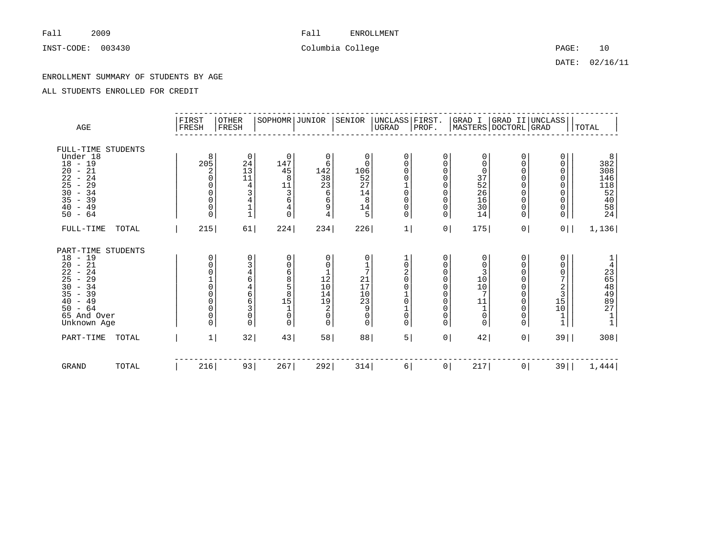INST-CODE: 003430 Columbia College Columbia College PAGE: 10

# Fall 2009 2009 Fall ENROLLMENT

DATE: 02/16/11

### ENROLLMENT SUMMARY OF STUDENTS BY AGE

| $\mathbb{AGE}$                                                                                                                                                                                                                                                                          | FIRST<br>FRESH                                                                                                                   | OTHER<br>FRESH                                                                                                                   | SOPHOMR JUNIOR                                                                 |                                                                                                             | SENIOR                                                                            | UNCLASS   FIRST.<br>$_{\rm UGRAD}$                                                                 | PROF.                                                                                                                       |                                                                                                                                                 |                                                       | GRAD I   GRAD II   UNCLASS  <br>MASTERS   DOCTORL   GRAD                     | TOTAL                                                                        |
|-----------------------------------------------------------------------------------------------------------------------------------------------------------------------------------------------------------------------------------------------------------------------------------------|----------------------------------------------------------------------------------------------------------------------------------|----------------------------------------------------------------------------------------------------------------------------------|--------------------------------------------------------------------------------|-------------------------------------------------------------------------------------------------------------|-----------------------------------------------------------------------------------|----------------------------------------------------------------------------------------------------|-----------------------------------------------------------------------------------------------------------------------------|-------------------------------------------------------------------------------------------------------------------------------------------------|-------------------------------------------------------|------------------------------------------------------------------------------|------------------------------------------------------------------------------|
| FULL-TIME STUDENTS<br>Under 18<br>$18 - 19$<br>21<br>20<br>$\sim$<br>22<br>24<br>$\overline{\phantom{a}}$<br>25<br>29<br>$\overline{\phantom{a}}$<br>30<br>$-34$<br>35<br>$-39$<br>$-49$<br>40<br>$-64$<br>50                                                                           | 8<br>205<br>2<br>0<br>$\mathbf 0$<br>0<br>0<br>$\Omega$                                                                          | 0<br>24<br>$\begin{array}{c} 13 \\ 11 \end{array}$<br>$\,4$<br>3<br>$\begin{array}{c} 4 \\ 1 \\ 1 \end{array}$                   | $\mathbf 0$<br>147<br>45<br>8<br>11<br>3<br>6<br>4<br>0                        | 0<br>6<br>142<br>38<br>23<br>6<br>6<br>9<br>$\overline{4}$                                                  | 0<br>$\mathbf 0$<br>106<br>52<br>27<br>14<br>8<br>14<br>5                         | $\mathbf 0$<br>$\Omega$<br>0<br>0<br>$\begin{matrix} 1 \\ 0 \end{matrix}$<br>0<br>$\mathsf 0$<br>0 | 0<br>0<br>$\mathbf 0$<br>$\mathbf 0$<br>$\mathbf 0$<br>0<br>0<br>$\mathsf 0$<br>$\mathbf 0$                                 | $\mathbf 0$<br>$\mathbf 0$<br>0<br>$\frac{37}{52}$<br>16<br>30<br>14                                                                            | 0<br>0<br>0<br>0<br>0<br>0<br>0<br>0<br>0             | 0<br>0<br>0<br>0<br>0<br>0<br>0<br>$\mathsf{O}\xspace$<br>0                  | 8<br>382<br>308<br>146<br>146<br>118<br>$\frac{152}{540}$<br>$\frac{40}{24}$ |
| FULL-TIME<br>TOTAL                                                                                                                                                                                                                                                                      | 215                                                                                                                              | 61                                                                                                                               | 224                                                                            | 234                                                                                                         | 226                                                                               | 1                                                                                                  | 0                                                                                                                           | 175                                                                                                                                             | 0 <sup>1</sup>                                        | 0 <sup>1</sup>                                                               | 1,136                                                                        |
| PART-TIME STUDENTS<br>$18 - 19$<br>20<br>$-21$<br>22<br>24<br>$\overline{\phantom{a}}$<br>$\overline{25}$<br>29<br>$\overline{\phantom{a}}$<br>30<br>$-34$<br>35<br>39<br>$\overline{\phantom{a}}$<br>49<br>40<br>$\overline{\phantom{a}}$<br>$-64$<br>50<br>65 And Over<br>Unknown Age | 0<br>0<br>0<br>$\overline{0}$<br>$\mathsf{O}\xspace$<br>$\overline{0}$<br>$\mathsf{O}\xspace$<br>$\mathsf{O}\xspace$<br>$\Omega$ | 0<br>3<br>$\begin{array}{c} 4 \\ 6 \end{array}$<br>$\begin{array}{c} 4 \\ 6 \\ 6 \end{array}$<br>3<br>$\mathsf 0$<br>$\mathbf 0$ | 0<br>0<br>6<br>8<br>5<br>8<br>15<br>$\mathbf{1}$<br>$\overline{0}$<br>$\Omega$ | 0<br>0<br>$\mathbf{1}$<br>$1\overline{2}$<br>$10$<br>$14$<br>$19$<br>$\sqrt{2}$<br>$\mathsf{O}\xspace$<br>0 | 0<br>1<br>7<br>$^{21}_{17}$<br>$\frac{10}{23}$<br>9<br>$\mathsf 0$<br>$\mathbf 0$ | 0<br>2<br>$\overline{0}$<br>$\Omega$<br>$\mathbf 0$<br>$\mathsf{O}\xspace$<br>$\mathsf{O}$         | 0<br>0<br>$\mathbf 0$<br>$\mathbf 0$<br>$\mathbf 0$<br>$\mathbf 0$<br>$\Omega$<br>$\mathbf 0$<br>$\mathbf 0$<br>$\mathbf 0$ | 0<br>$\mathbf 0$<br>3<br>$1\bar{0}$<br>$\overline{10}$<br>$\overline{7}$<br>$\begin{array}{c} 1\,\underline{1}\\ 1\\ 0 \end{array}$<br>$\Omega$ | 0<br>0<br>0<br>$\Omega$<br>0<br>0<br>0<br>0<br>0<br>0 | 0<br>0<br>0<br>7<br>$\frac{2}{3}$<br>$\frac{3}{15}$<br>$10$<br>$\frac{1}{1}$ | $\mathbf 1$<br>$\bf 4$<br>2648997<br>$\frac{1}{1}$                           |
| PART-TIME<br>TOTAL                                                                                                                                                                                                                                                                      | $\mathbf{1}$                                                                                                                     | 32                                                                                                                               | 43                                                                             | 58                                                                                                          | 88                                                                                | 5                                                                                                  | $\overline{0}$                                                                                                              | 42                                                                                                                                              | 0 <sup>1</sup>                                        | $39$                                                                         | 308                                                                          |
| <b>GRAND</b><br>TOTAL                                                                                                                                                                                                                                                                   | 216                                                                                                                              | 93                                                                                                                               | 267                                                                            | 292                                                                                                         | 314                                                                               | 6                                                                                                  | $\overline{0}$                                                                                                              | 217                                                                                                                                             | 0 <sup>1</sup>                                        | $39$                                                                         | 1,444                                                                        |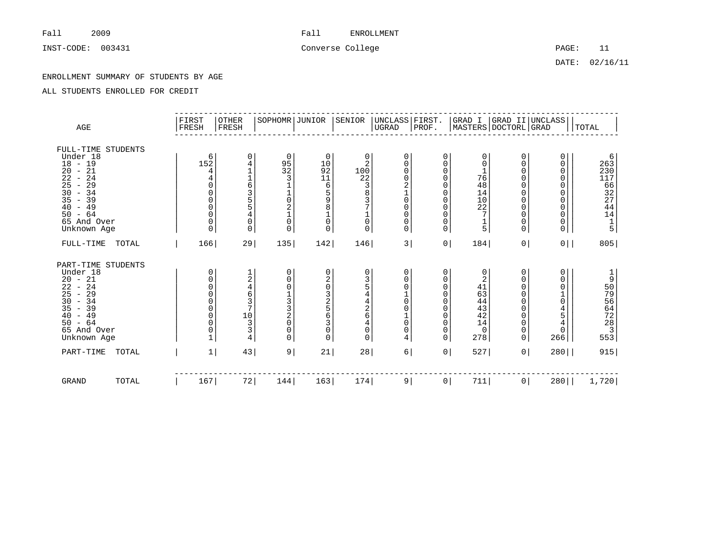INST-CODE: 003431 Converse College College PAGE: 11

DATE: 02/16/11

### ENROLLMENT SUMMARY OF STUDENTS BY AGE

| AGE                                                                                                                                                                                   | FIRST<br>FRESH | OTHER<br>FRESH                                                                                                                                                                                                | SOPHOMR JUNIOR                                                                                                      |                                                                                                              | SENIOR                                                                                                      | UNCLASS FIRST.<br> UGRAD PROF.                                                                     |                                                                                                                                      |                                                                  | GRAD I  GRAD II UNCLASS <br> MASTERS DOCTORL GRAD   |                                                                                                   | TOTAL                                                                                                  |
|---------------------------------------------------------------------------------------------------------------------------------------------------------------------------------------|----------------|---------------------------------------------------------------------------------------------------------------------------------------------------------------------------------------------------------------|---------------------------------------------------------------------------------------------------------------------|--------------------------------------------------------------------------------------------------------------|-------------------------------------------------------------------------------------------------------------|----------------------------------------------------------------------------------------------------|--------------------------------------------------------------------------------------------------------------------------------------|------------------------------------------------------------------|-----------------------------------------------------|---------------------------------------------------------------------------------------------------|--------------------------------------------------------------------------------------------------------|
| FULL-TIME STUDENTS<br>Under 18<br>$18 - 19$<br>$20 - 21$<br>22<br>$-24$<br>29<br>25<br>$\sim$<br>$30 - 34$<br>35<br>$-39$<br>$-49$<br>40<br>$-64$<br>50<br>65 And Over<br>Unknown Age | 152            | 0<br>6<br>4<br>$\overline{1}$<br>4<br>6<br>0<br>$\overline{3}$<br>0<br>$\mathsf{O}\xspace$<br>5<br>$\mathsf{O}\xspace$<br>5<br>$\mathsf{O}\xspace$<br>4<br>$\mathbf 0$<br>$\mathbf 0$<br>$\Omega$<br>$\Omega$ | 0<br>$\begin{array}{c} 95 \\ 32 \end{array}$<br>3<br>$\overline{0}$<br>$\overline{2}$<br>$\overline{0}$<br>$\Omega$ | 0<br>10<br>$\overline{92}$<br>11<br>6<br>$\overline{5}$<br>9<br>8<br>$\mathbf 1$<br>$\mathsf{O}\xspace$<br>0 | 0<br>2<br>100<br>22<br>$_8^3$<br>3<br>7<br>1<br>$\mathbf{0}$<br>$\Omega$                                    | 0<br>$\Omega$<br>0<br>$\mathbf 0$<br>$\mathbf 0$<br>$\mathbf 0$<br>$\mathbf 0$<br>0<br>$\mathbf 0$ | 0<br>$\mathbf 0$<br>$\mathbf 0$<br>0<br>$\mathbf 0$<br>$\Omega$<br>$\Omega$<br>$\mathbf 0$<br>$\mathbf 0$<br>$\mathbf 0$<br>$\Omega$ | 0<br>0<br>76<br>48<br>14<br>$\frac{10}{22}$<br>$\frac{1}{5}$     | 0<br>0<br>0<br>0<br>0<br>0<br>0<br>0<br>0<br>0<br>0 | 0<br>0<br>0<br>0<br>0<br>0<br>0<br>0<br>0<br>0<br>0                                               | $\begin{array}{c} 6 \\ 263 \\ 230 \end{array}$<br>$\overline{117}$<br>66<br>32<br>27<br>44<br>14<br>15 |
| $FULL-TIME$<br>TOTAL                                                                                                                                                                  | 166            | 29                                                                                                                                                                                                            | 135                                                                                                                 | 142                                                                                                          | 146                                                                                                         | 3                                                                                                  | 0 <sup>1</sup>                                                                                                                       | 184                                                              | 0 <sup>1</sup>                                      | $0$                                                                                               | 805                                                                                                    |
| PART-TIME STUDENTS<br>Under 18<br>$20 - 21$<br>$22 - 24$<br>$25 - 29$<br>$30 - 34$<br>35<br>$-39$<br>$-49$<br>40<br>$-64$<br>50<br>65 And Over<br>Unknown Age                         |                | 0<br>12463<br>0<br>0<br>$\mathbf 0$<br>$\overline{7}$<br>$\mathsf{O}\xspace$<br>$\overline{0}$<br>$10$<br>$\frac{3}{3}$<br>$\Omega$<br>0<br>4                                                                 | $\Omega$<br>0<br>$\Omega$<br>$\frac{1}{3}$<br>$\overline{3}$<br>$\overline{2}$<br>$\Omega$<br>$\Omega$<br>$\Omega$  | 0<br>20325630<br>0                                                                                           | 0<br>$\frac{3}{5}$<br>$\,4$<br>$\overline{4}$<br>$\frac{2}{6}$<br>$\overline{4}$<br>$\mathbf 0$<br>$\Omega$ | $\mathbf 0$<br>0<br>0<br>$\mathbf 0$<br>$\mathbf 0$<br>$\mathbf 0$<br>$\mathbf 0$<br>4             | 0<br>0<br>$\mathbf 0$<br>$\mathbf 0$<br>$\Omega$<br>$\Omega$<br>$\Omega$<br>$\mathbf 0$<br>$\mathbf 0$<br>$\Omega$                   | 0<br>2<br>41<br>63<br>44<br>43<br>42<br>14<br>$\mathbf 0$<br>278 | 0<br>0<br>0<br>0<br>0<br>0<br>0<br>0<br>0<br>0      | 0<br>0<br>0<br>$\frac{1}{0}$<br>$\begin{array}{c} 4 \\ 5 \\ 4 \end{array}$<br>$\mathsf{O}$<br>266 | 1909642283<br>553                                                                                      |
| PART-TIME<br>TOTAL                                                                                                                                                                    |                | $\mathbf{1}$<br>43                                                                                                                                                                                            | 9                                                                                                                   | 21                                                                                                           | 28                                                                                                          | 6                                                                                                  | 0 <sup>1</sup>                                                                                                                       | 527                                                              | $\circ$                                             | $280$                                                                                             | 915                                                                                                    |
| GRAND<br>TOTAL                                                                                                                                                                        | 167            | 72                                                                                                                                                                                                            | 144                                                                                                                 | 163                                                                                                          | 174                                                                                                         | 9                                                                                                  | $\circ$                                                                                                                              | 711                                                              | $\circ$                                             | $280$                                                                                             | 1,720                                                                                                  |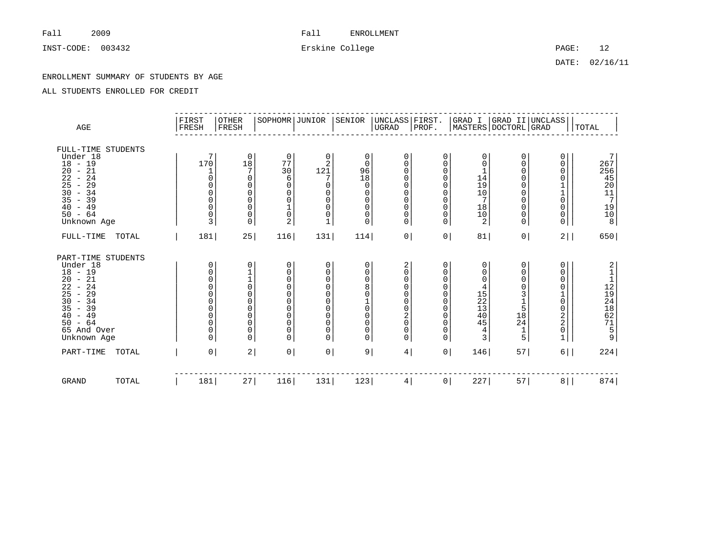INST-CODE: 003432 Erskine College PAGE: 12

DATE: 02/16/11

### ENROLLMENT SUMMARY OF STUDENTS BY AGE

| AGE                                                                                                                                                                                                      | FIRST<br>FRESH                                                           | <b>OTHER</b><br>FRESH                                                                                                                                         | SOPHOMR JUNIOR                                                                                                                           |                                                                                                                                                       | SENIOR                                                                       | UNCLASS   FIRST.<br> UGRAD   PROF.                                                                                          |                                                                                               |                                                                                                  | GRAD I  GRAD II UNCLASS <br> MASTERS DOCTORL GRAD                                                                                                      |                                                                                            | TOTAL                                                                                              |
|----------------------------------------------------------------------------------------------------------------------------------------------------------------------------------------------------------|--------------------------------------------------------------------------|---------------------------------------------------------------------------------------------------------------------------------------------------------------|------------------------------------------------------------------------------------------------------------------------------------------|-------------------------------------------------------------------------------------------------------------------------------------------------------|------------------------------------------------------------------------------|-----------------------------------------------------------------------------------------------------------------------------|-----------------------------------------------------------------------------------------------|--------------------------------------------------------------------------------------------------|--------------------------------------------------------------------------------------------------------------------------------------------------------|--------------------------------------------------------------------------------------------|----------------------------------------------------------------------------------------------------|
| FULL-TIME STUDENTS<br>Under 18<br>$18 - 19$<br>$-21$<br>20<br>22<br>24<br>$\sim$<br>25<br>29<br>$\overline{\phantom{a}}$<br>30<br>$-34$<br>35<br>39<br>$\sim$<br>$-49$<br>40<br>$50 - 64$<br>Unknown Age | 7<br>170<br>$\Omega$<br>0<br>$\mathbf 0$<br>$\mathbf 0$<br>$\Omega$<br>3 | 0<br>18<br>7<br>0<br>0<br>0<br>0<br>0<br>0<br>0                                                                                                               | 0<br>77<br>30<br>6<br>$\Omega$<br>$\Omega$<br>$\Omega$<br>$\frac{1}{0}$<br>$\overline{2}$                                                | 0<br>$\overline{2}$<br>121<br>7<br>$\mathbf 0$<br>$\mathbf 0$<br>$\mathbf 0$<br>$\mathbf 0$<br>0<br>$\mathbf{1}$                                      | 0<br>$\mathbf 0$<br>96<br>18<br>0<br>0<br>0<br>0<br>0<br>0                   | 0<br>$\Omega$<br>$\mathbf 0$<br>$\mathbf 0$<br>0<br>$\mathbf 0$<br>$\mathbf 0$<br>$\mathbf 0$<br>$\mathbf 0$<br>$\mathbf 0$ | 0<br>$\Omega$<br>0<br>$\Omega$<br>$\Omega$<br>$\Omega$<br>$\Omega$<br>0<br>$\Omega$<br>0      | 0<br>$\Omega$<br>$14$<br>$19$<br>$10$<br>7<br>$\begin{smallmatrix} 18\\10\\2 \end{smallmatrix}$  | 0<br>0<br>$\mathsf{0}$<br>$\mathbf 0$<br>$\mathsf{O}\xspace$<br>$\overline{0}$<br>$\overline{0}$<br>$\mathsf{O}\xspace$<br>$\mathsf{O}$<br>$\mathbf 0$ | 0<br>0<br>0<br>0<br>$\mathbf{1}$<br>0<br>0<br>0<br>0                                       | 7<br>267<br>$256$<br>$45$<br>$20$<br>$11$<br>$7$<br>$\begin{array}{c}\n19 \\ 10 \\ 8\n\end{array}$ |
| FULL-TIME<br>TOTAL                                                                                                                                                                                       | 181                                                                      | 25                                                                                                                                                            | 116                                                                                                                                      | 131                                                                                                                                                   | 114                                                                          | 0 <sup>1</sup>                                                                                                              | 0 <sup>1</sup>                                                                                | 81                                                                                               | 0 <sup>1</sup>                                                                                                                                         | 2                                                                                          | 650                                                                                                |
| PART-TIME STUDENTS<br>Under 18<br>$18 - 19$<br>20<br>$-21$<br>22<br>$-24$<br>25<br>$-29$<br>$-34$<br>30<br>$-39$<br>35<br>$-49$<br>40<br>$-64$<br>50<br>65 And Over<br>Unknown Age                       | 0<br>0<br>$\Omega$<br>0<br>$\overline{0}$<br>$\Omega$<br>$\Omega$        | 0<br>$\begin{bmatrix} 1 \\ 1 \\ 0 \end{bmatrix}$<br>$\mathsf{O}\xspace$<br>$\begin{matrix} 0 \\ 0 \end{matrix}$<br>$\mathsf{O}\xspace$<br>$\bar{0}$<br>0<br>0 | 0<br>$\mathbf 0$<br>$\mathbf 0$<br>$\Omega$<br>$\Omega$<br>$\mathbf 0$<br>$\Omega$<br>$\mathbf 0$<br>$\Omega$<br>$\mathbf 0$<br>$\Omega$ | 0<br>$\mathbf 0$<br>$\mathbf 0$<br>$\mathsf{O}\xspace$<br>$\mathbf 0$<br>$\mathbf 0$<br>$\mathbf 0$<br>$\mathbf 0$<br>$\mathbf 0$<br>$\mathbf 0$<br>0 | 0<br>0<br>0<br>8<br>$\mathsf{O}\xspace$<br>$\frac{1}{0}$<br>0<br>0<br>0<br>0 | 2<br>$\mathbf 0$<br>0<br>0<br>0<br>$\mathbf 0$<br>$\mathbf 0$<br>$^2_{\rm 0}$<br>$\mathbf 0$<br>$\mathbf 0$                 | 0<br>0<br>0<br>$\Omega$<br>$\Omega$<br>0<br>$\Omega$<br>$\Omega$<br>$\Omega$<br>0<br>$\Omega$ | 0<br>0<br>0<br>4<br>$\frac{15}{22}$<br>$\overline{40}$<br>45<br>$\overline{4}$<br>$\overline{3}$ | 0<br>0<br>$\mathsf{0}$<br>$\bar{0}$<br>$3158$<br>$184$<br>$\frac{1}{5}$                                                                                | 0<br>0<br>0<br>0<br>0<br>0<br>$\begin{array}{c} 2 \\ 2 \\ 0 \end{array}$<br>$\overline{1}$ |                                                                                                    |
| PART-TIME<br>TOTAL                                                                                                                                                                                       | $\overline{0}$                                                           | 2                                                                                                                                                             | 0 <sup>1</sup>                                                                                                                           | $0 \mid$                                                                                                                                              | 9                                                                            | 4                                                                                                                           | $\circ$                                                                                       | 146                                                                                              | 57                                                                                                                                                     | $6 \mid$                                                                                   | 224                                                                                                |
| <b>GRAND</b><br>TOTAL                                                                                                                                                                                    | 181                                                                      | 27                                                                                                                                                            | 116                                                                                                                                      | 131                                                                                                                                                   | 123                                                                          | 4                                                                                                                           | 0 <sup>1</sup>                                                                                | 227                                                                                              | 57                                                                                                                                                     | 8                                                                                          | 874                                                                                                |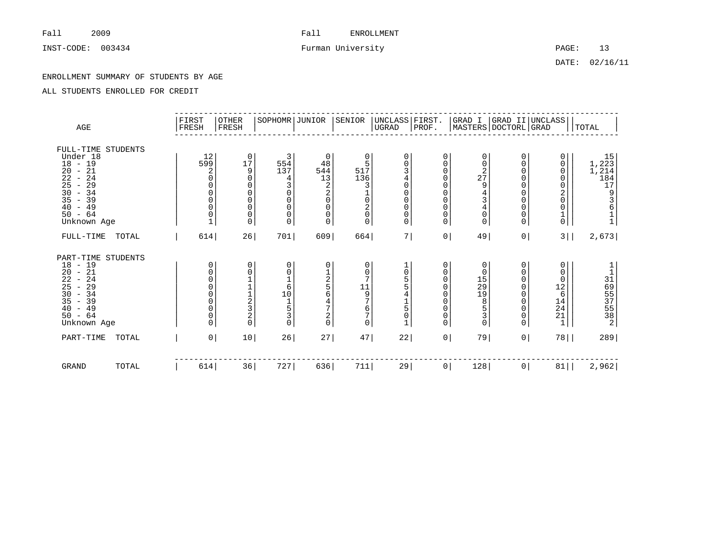INST-CODE: 003434 Furman University PAGE: 13

DATE: 02/16/11

### ENROLLMENT SUMMARY OF STUDENTS BY AGE

| AGE                                                                                                                                                                                                                                    |       | FIRST<br>FRESH                                                                                             | <b>OTHER</b><br>FRESH                                                                                     | SOPHOMR JUNIOR                                                                                                    |                                                                                                                      | SENIOR                                                                                   | UNCLASS FIRST.<br>UGRAD                                                                                             | PROF.                                                                        |                                                                                                   |                                                                                                                                                 | GRAD I  GRAD II UNCLASS <br> MASTERS DOCTORL GRAD                                                         | TOTAL                                                              |
|----------------------------------------------------------------------------------------------------------------------------------------------------------------------------------------------------------------------------------------|-------|------------------------------------------------------------------------------------------------------------|-----------------------------------------------------------------------------------------------------------|-------------------------------------------------------------------------------------------------------------------|----------------------------------------------------------------------------------------------------------------------|------------------------------------------------------------------------------------------|---------------------------------------------------------------------------------------------------------------------|------------------------------------------------------------------------------|---------------------------------------------------------------------------------------------------|-------------------------------------------------------------------------------------------------------------------------------------------------|-----------------------------------------------------------------------------------------------------------|--------------------------------------------------------------------|
| FULL-TIME STUDENTS<br>Under 18<br>$18 - 19$<br>$-21$<br>20<br>24<br>22<br>$\overline{\phantom{a}}$<br>25<br>29<br>$\overline{\phantom{a}}$<br>30<br>$-34$<br>35<br>$-39$<br>$-49$<br>40<br>$50 - 64$<br>Unknown Age                    |       | 12<br>599<br>2<br>$\Omega$<br>0<br>$\mathbf 0$<br>0                                                        | 0<br>17<br>9<br>$\mathbf 0$<br>0<br>$\begin{matrix} 0 \\ 0 \end{matrix}$<br>$\mathsf{O}\xspace$<br>0<br>0 | 3<br>554<br>137<br>$\overline{4}$<br>3<br>$\mathbf 0$<br>$\mathbf 0$<br>$\mathbf 0$<br>$\mathbf 0$<br>$\mathbf 0$ | $\mathbf 0$<br>48<br>544<br>13<br>$\frac{2}{2}$<br>$\mathsf{O}\xspace$<br>$\mathsf 0$<br>$\mathsf{0}$<br>$\mathbf 0$ | 0<br>5<br>517<br>136<br>3<br>$\frac{1}{0}$<br>$\frac{2}{0}$<br>0                         | $\mathbf 0$<br>0<br>3<br>$\bf 4$<br>$\overline{0}$<br>$\mathsf 0$<br>$\mathbf 0$<br>$\mathsf 0$<br>$\mathsf 0$<br>0 | 0<br>0<br>0<br>0<br>0<br>0<br>0<br>0<br>0<br>0                               | $\mathbf 0$<br>0<br>$2^{2}$<br>9<br>$\frac{4}{3}$<br>$\overline{4}$<br>$\mathbf 0$<br>$\mathbf 0$ | 0<br>0<br>0<br>0<br>0<br>0<br>0<br>$\mathsf{0}$<br>0<br>$\mathbf 0$                                                                             | 0<br>0<br>0<br>0<br>0<br>$\frac{2}{0}$<br>0<br>$\frac{1}{0}$                                              | 15<br>1,223<br>1,214<br>184<br>17<br>93611                         |
| FULL-TIME                                                                                                                                                                                                                              | TOTAL | 614                                                                                                        | 26                                                                                                        | 701                                                                                                               | 609                                                                                                                  | 664                                                                                      | 7                                                                                                                   | 0 <sup>1</sup>                                                               | 49                                                                                                | 0 <sup>1</sup>                                                                                                                                  | $3 \mid$                                                                                                  | 2,673                                                              |
| PART-TIME STUDENTS<br>$18 - 19$<br>$-21$<br>20<br>$\overline{2}\overline{2}$<br>24<br>$\overline{\phantom{a}}$<br>25<br>29<br>$\overline{\phantom{a}}$<br>30<br>$-34$<br>35<br>39<br>$\sim$<br>40<br>$-49$<br>$50 - 64$<br>Unknown Age |       | 0<br>$\mathbf 0$<br>$\mathbf 0$<br>$\Omega$<br>$\overline{0}$<br>$\bar{0}$<br>$\mathbf 0$<br>0<br>$\Omega$ | 0<br>0<br>$1122$<br>$320$                                                                                 | 0<br>$\mathbf 0$<br>$\frac{1}{6}$<br>10<br>$\frac{1}{5}$<br>$\mathsf 3$<br>$\Omega$                               | 0<br>$\frac{1}{2}$<br>56<br>$\frac{4}{7}$<br>$^2_{\rm 0}$                                                            | 0<br>0<br>7<br>$\begin{array}{c}\n11 \\ 9 \\ 7\n\end{array}$<br>6<br>$\overline{7}$<br>0 | $\frac{1}{0}$<br>$\frac{5}{5}$<br>$\overline{4}$<br>$\frac{1}{5}$<br>$\mathsf 0$                                    | 0<br>$\Omega$<br>$\Omega$<br>$\Omega$<br>$\Omega$<br>0<br>0<br>0<br>$\Omega$ | 0<br>$\mathbf 0$<br>15<br>29<br>19<br>8<br>5<br>3<br>$\mathbf 0$                                  | 0<br>0<br>$\begin{matrix} 0 \\ 0 \end{matrix}$<br>$\begin{smallmatrix}0\\0\end{smallmatrix}$<br>$\overline{0}$<br>$\overline{0}$<br>$\mathbf 0$ | 0<br>0<br>0<br>$\begin{array}{c}\n1\overset{.}{2} \\ 6\n\end{array}$<br>$\frac{14}{24}$<br>$\frac{21}{1}$ | $\begin{array}{c}\n 1 \\  31 \\  653 \\  535 \\  34\n \end{array}$ |
| PART-TIME                                                                                                                                                                                                                              | TOTAL | $\overline{0}$                                                                                             | 10                                                                                                        | 26                                                                                                                | 27                                                                                                                   | 47                                                                                       | 22                                                                                                                  | $\circ$                                                                      | 79                                                                                                | 0 <sup>1</sup>                                                                                                                                  | $78$                                                                                                      | 289                                                                |
| <b>GRAND</b>                                                                                                                                                                                                                           | TOTAL | 614                                                                                                        | 36                                                                                                        | 727                                                                                                               | 636                                                                                                                  | 711                                                                                      | 29                                                                                                                  | 0                                                                            | 128                                                                                               | $\circ$                                                                                                                                         | 81                                                                                                        | 2,962                                                              |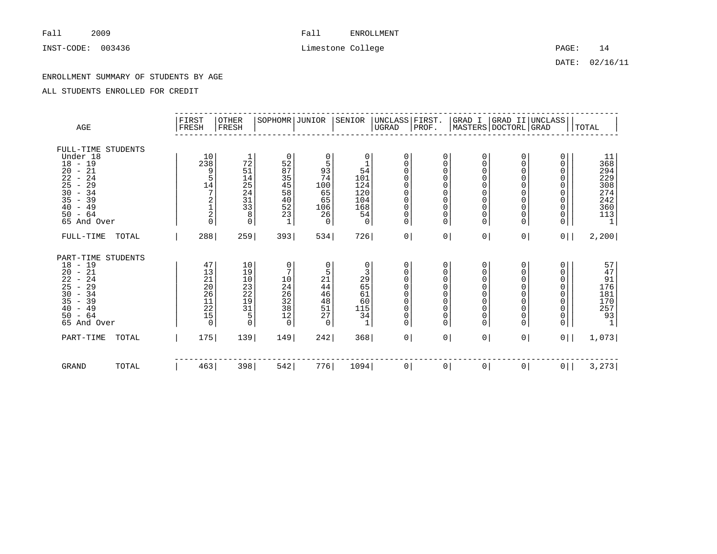DATE: 02/16/11

### ENROLLMENT SUMMARY OF STUDENTS BY AGE

| $\rm{AGE}$                                                                                                                                                                                                                                                                                                                                             | FIRST<br>FRESH                                              | <b>OTHER</b><br>FRESH                       | SOPHOMR JUNIOR                                                 |                                                              | SENIOR                                                             | UNCLASS FIRST.<br>UGRAD                                                                                         | PROF.                                                                                            |                                                                                                                                |                                                        | GRAD I  GRAD II UNCLASS <br> MASTERS DOCTORL GRAD           | TOTAL                                                                      |
|--------------------------------------------------------------------------------------------------------------------------------------------------------------------------------------------------------------------------------------------------------------------------------------------------------------------------------------------------------|-------------------------------------------------------------|---------------------------------------------|----------------------------------------------------------------|--------------------------------------------------------------|--------------------------------------------------------------------|-----------------------------------------------------------------------------------------------------------------|--------------------------------------------------------------------------------------------------|--------------------------------------------------------------------------------------------------------------------------------|--------------------------------------------------------|-------------------------------------------------------------|----------------------------------------------------------------------------|
| FULL-TIME STUDENTS<br>Under 18<br>$18 - 19$<br>21<br>20<br>$\overline{\phantom{a}}$<br>24<br>22<br>$\overline{\phantom{m}}$<br>29<br>25<br>$\overline{\phantom{a}}$<br>30<br>$-34$<br>35<br>39<br>$\overline{\phantom{a}}$<br>49<br>40<br>$\overline{\phantom{a}}$<br>64<br>50<br>$ \,$<br>65 And Over                                                 | 10<br>238<br>9<br>5<br>$14\,$<br>7<br>2<br>$\frac{1}{2}$    | 72<br>51<br>1454133<br>8<br>$\mathbf 0$     | 0<br>52<br>87<br>35<br>45<br>58<br>40<br>52<br>23<br>1         | 0<br>5<br>93<br>74<br>100<br>65<br>65<br>106<br>26<br>0      | 0<br>1<br>54<br>101<br>124<br>$\frac{120}{104}$<br>168<br>54<br>0  | 0<br>0<br>0<br>$\mathbf 0$<br>0<br>$\mathbf 0$<br>$\mathbf 0$<br>$\mathbf 0$<br>0<br>$\overline{0}$             | 0<br>0<br>$\mathbf 0$<br>0<br>$\mathbf 0$<br>$\mathbf 0$<br>$\mathbf 0$<br>0<br>0<br>$\mathbf 0$ | 0<br>$\mathbf 0$<br>$\mathbf 0$<br>$\mathbf 0$<br>$\mathbf 0$<br>$\mathbf 0$<br>$\mathbf 0$<br>$\mathbf 0$<br>$\mathbf 0$<br>0 | 0<br>0<br>$\Omega$<br>0<br>0<br>0<br>0<br>0<br>0<br>0  | 0<br>0<br>0<br>0<br>0<br>0<br>$\mathbf 0$<br>0<br>0<br>0    | 118849842<br>29230842<br>24236013<br>$\overline{1}$                        |
| $FULL-TIME$<br>TOTAL                                                                                                                                                                                                                                                                                                                                   | 288                                                         | 259                                         | 393                                                            | 534                                                          | 726                                                                | 0                                                                                                               | 0 <sup>1</sup>                                                                                   | 0                                                                                                                              | 0 <sup>1</sup>                                         | $0$                                                         | 2,200                                                                      |
| PART-TIME<br>STUDENTS<br>18<br>19<br>$\overline{\phantom{a}}$<br>21<br>$\substack{20\\22}$<br>$\overline{\phantom{a}}$<br>24<br>$\overline{\phantom{a}}$<br>25<br>29<br>$\overline{\phantom{a}}$<br>34<br>30<br>$\overline{\phantom{a}}$<br>39<br>35<br>$\overline{\phantom{0}}$<br>49<br>40<br>$\overline{\phantom{m}}$<br>$-64$<br>50<br>65 And Over | 47<br>13<br>21<br>26<br>26<br>11<br>22<br>15<br>$\mathbf 0$ | $10$<br>1903<br>2229<br>31<br>$\frac{5}{0}$ | 0<br>7<br>$104$<br>$246$<br>$328$<br>$38$<br>12<br>$\mathbf 0$ | 0<br>5<br>$\frac{21}{44}$<br>$46$<br>$48$<br>$51$<br>27<br>0 | 0<br>3<br>$\frac{29}{65}$<br>61<br>60<br>115<br>34<br>$\mathbf{1}$ | 0<br>$\mathbf 0$<br>$\mathbf 0$<br>$\mathbf 0$<br>$\mathbf 0$<br>$\mathbf 0$<br>$\mathsf 0$<br>0<br>$\mathbf 0$ | 0<br>$\mathbf 0$<br>$\Omega$<br>$\Omega$<br>$\mathbf{0}$<br>$\mathbf 0$<br>0<br>0<br>$\mathbf 0$ | 0<br>$\mathbf 0$<br>$\mathbf 0$<br>$\mathbf 0$<br>$\mathbf 0$<br>$\mathbf 0$<br>$\mathbf 0$<br>$\mathbf 0$<br>$\overline{0}$   | 0<br>0<br>0<br>0<br>$\overline{0}$<br>0<br>0<br>0<br>0 | 0<br>0<br>0<br>0<br>0<br>0<br>0<br>$\mathsf{O}\xspace$<br>0 | 57<br>$\frac{47}{91}$<br>176<br>181<br>181<br>170<br>257<br>$\frac{93}{1}$ |
| PART-TIME<br>TOTAL                                                                                                                                                                                                                                                                                                                                     | 175                                                         | 139                                         | 149                                                            | 242                                                          | 368                                                                | 0 <sup>1</sup>                                                                                                  | $\overline{0}$                                                                                   | 0 <sup>1</sup>                                                                                                                 | 0                                                      | 0                                                           | 1,073                                                                      |
| GRAND<br>TOTAL                                                                                                                                                                                                                                                                                                                                         | 463                                                         | 398                                         | 542                                                            | 776                                                          | 1094                                                               | $\circ$                                                                                                         | 0                                                                                                | 0                                                                                                                              | 0                                                      | 0                                                           | 3, 273                                                                     |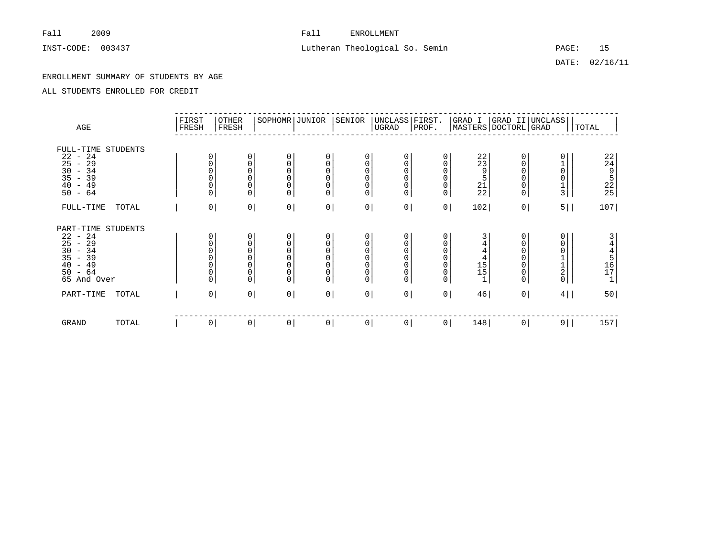# INST-CODE: 003437 Lutheran Theological So. Semin PAGE: 15

DATE: 02/16/11

### ENROLLMENT SUMMARY OF STUDENTS BY AGE

| AGE                                                                                                                                                                                           |       | FIRST<br>FRESH | <b>OTHER</b><br>FRESH |                                                                       | SOPHOMR JUNIOR                                                      | SENIOR                                                                            | UGRAD                                             | UNCLASS FIRST.<br>PROF.                           |                                                                       | GRAD I<br>MASTERS DOCTORL GRAD                                                      | GRAD II UNCLASS                                  |                                            | TOTAL                                                            |
|-----------------------------------------------------------------------------------------------------------------------------------------------------------------------------------------------|-------|----------------|-----------------------|-----------------------------------------------------------------------|---------------------------------------------------------------------|-----------------------------------------------------------------------------------|---------------------------------------------------|---------------------------------------------------|-----------------------------------------------------------------------|-------------------------------------------------------------------------------------|--------------------------------------------------|--------------------------------------------|------------------------------------------------------------------|
| FULL-TIME STUDENTS<br>22<br>24<br>$\overline{\phantom{a}}$<br>29<br>25<br>$\overline{\phantom{a}}$<br>$\begin{array}{c} 30 \\ 35 \end{array}$<br>$-34$<br>$-39$<br>$-49$<br>40<br>$-64$<br>50 |       | 0<br>$\Omega$  |                       | 0<br>0<br>0<br>0<br>$\bar{0}$<br>0                                    | 0<br>$\mathbf 0$<br>$\Omega$<br>$\Omega$<br>$\mathbf 0$<br>$\Omega$ | 0<br>$\mathbf 0$<br>$\mathbf 0$<br>$\mathbf 0$<br>$\mathsf 0$<br>$\mathbf 0$      | 0<br>0<br>0<br>0<br>0<br>0                        | $\Omega$<br>0<br>$\mathsf 0$<br>0                 | 0<br>$\Omega$<br>0<br>0<br>$\Omega$                                   | 22<br>23<br>9<br>$\frac{5}{21}$                                                     | 0<br>0<br>0<br>0<br>0<br>$\mathbf 0$             | $\Omega$<br>$\Omega$<br>0<br>$\frac{1}{3}$ | 22495225                                                         |
| FULL-TIME                                                                                                                                                                                     | TOTAL |                | $\mathsf{O}$          | $\hbox{O}$                                                            | 0 <sup>1</sup>                                                      | $0 \mid$                                                                          | 0                                                 | $\circ$                                           | 0 <sup>1</sup>                                                        | 102                                                                                 | 0 <sup>1</sup>                                   | 5                                          | 107                                                              |
| PART-TIME STUDENTS<br>22<br>-24<br>$\overline{\phantom{0}}$<br>25<br>$-29$<br>30<br>$-34$<br>35<br>$-39$<br>49<br>40<br>$\overline{\phantom{0}}$<br>$-64$<br>50<br>65 And Over                |       | 0<br>0         |                       | 0<br>$\begin{matrix} 0 \\ 0 \\ 0 \end{matrix}$<br>$\bar{0}$<br>0<br>0 | 0<br>$\mathbf 0$<br>$\mathbf 0$<br>$\Omega$<br>0<br>0<br>$\Omega$   | 0<br>0<br>$\mathbf 0$<br>$\mathbf 0$<br>$\mathbf 0$<br>$\mathsf 0$<br>$\mathsf 0$ | 0<br>0<br>$\mathsf{O}\xspace$<br>0<br>0<br>0<br>0 | 0<br>0<br>$\overline{0}$<br>0<br>$\mathbf 0$<br>0 | 0<br>$\Omega$<br>0<br>$\Omega$<br>$\Omega$<br>$\mathbf 0$<br>$\Omega$ | 3<br>4<br>$\overline{4}$<br>$\begin{array}{c} 15 \\ 15 \end{array}$<br>$\mathbf{1}$ | 0<br>$_0^0$<br>0<br>$\mathsf 0$<br>0<br>$\Omega$ | 0<br>0<br>$\Omega$<br>$\frac{1}{2}$        | 3<br>$\overline{4}$<br>$\frac{4}{5}$<br>16<br>17<br>$\mathbf{1}$ |
| PART-TIME                                                                                                                                                                                     | TOTAL |                | $\mathsf{O}$          | 0 <sup>1</sup>                                                        | 0                                                                   | 0 <sup>1</sup>                                                                    | $\mathsf{O}\xspace$                               | $\overline{0}$                                    | 0 <sup>1</sup>                                                        | 46                                                                                  | 0 <sup>1</sup>                                   | 4                                          | 50                                                               |
| GRAND                                                                                                                                                                                         | TOTAL |                | $\mathsf{O}$          | $\overline{0}$                                                        | 0                                                                   | 0                                                                                 | 0                                                 | 0                                                 | 0 <sup>1</sup>                                                        | 148                                                                                 | $\circ$                                          | $9 \mid$                                   | 157                                                              |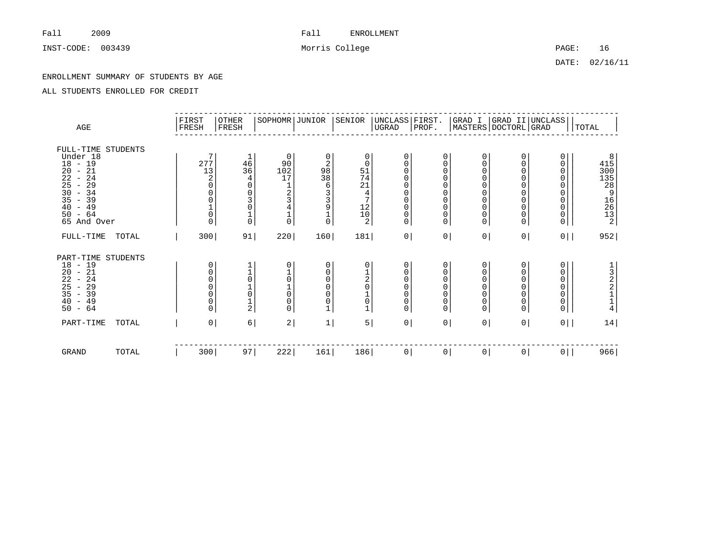INST-CODE: 003439 Morris College PAGE: 16

DATE: 02/16/11

### ENROLLMENT SUMMARY OF STUDENTS BY AGE

| AGE                                                                                                                                                                                                                                                                           | FIRST<br>FRESH                                                              | <b>OTHER</b><br>FRESH                                                                                       | SOPHOMR JUNIOR                                                                                         |                                                                                                          | SENIOR                                                                                       | UNCLASS FIRST.<br>UGRAD                                                                                                  | PROF.                                                                                                                          |                                                                                                                                          | GRAD I  GRAD II UNCLASS <br> MASTERS DOCTORL GRAD                     |                                                                                 | <b>TOTAL</b>                                      |
|-------------------------------------------------------------------------------------------------------------------------------------------------------------------------------------------------------------------------------------------------------------------------------|-----------------------------------------------------------------------------|-------------------------------------------------------------------------------------------------------------|--------------------------------------------------------------------------------------------------------|----------------------------------------------------------------------------------------------------------|----------------------------------------------------------------------------------------------|--------------------------------------------------------------------------------------------------------------------------|--------------------------------------------------------------------------------------------------------------------------------|------------------------------------------------------------------------------------------------------------------------------------------|-----------------------------------------------------------------------|---------------------------------------------------------------------------------|---------------------------------------------------|
| FULL-TIME STUDENTS<br>Under 18<br>$18 - 19$<br>21<br>20<br>$\overline{\phantom{a}}$<br>22<br>24<br>$\overline{\phantom{a}}$<br>$\begin{array}{c} 25 \\ 30 \end{array}$<br>$-29$<br>$-34$<br>35<br>$-39$<br>49<br>40<br>$\overline{\phantom{a}}$<br>$-64$<br>50<br>65 And Over | 7<br>277<br>13<br>$\sqrt{2}$<br>0<br>0<br>0<br>$\overline{0}$<br>$\Omega$   | 1<br>$\frac{46}{36}$<br>4<br>$\Omega$<br>0<br>3<br>$\begin{smallmatrix} 0\\1 \end{smallmatrix}$<br>$\Omega$ | 0<br>90<br>102<br>17<br>$\mathbf{1}$<br>$\overline{c}$<br>$\overline{3}$<br>$\overline{4}$<br>$\Omega$ | 0<br>$\overline{\mathbf{c}}$<br>$\frac{98}{38}$<br>6<br>3391<br>$\mathsf{O}\xspace$                      | 0<br>$\mathbf 0$<br>51<br>74<br>21<br>$\overline{4}$<br>$7\overline{ }$<br>$^{12}_{10}$<br>2 | $\mathbf 0$<br>0<br>0<br>0<br>$\mathbf 0$<br>$\mathbf 0$<br>$\mathsf 0$<br>$\mathsf 0$<br>$\mathsf{0}$<br>$\overline{0}$ | 0<br>$\mathbf 0$<br>$\mathbf 0$<br>$\mathbf 0$<br>$\mathbf 0$<br>$\mathbf 0$<br>$\mathbf 0$<br>$\mathbf 0$<br>0<br>$\mathbf 0$ | 0<br>$\mathbf 0$<br>$\mathbf 0$<br>$\mathbf 0$<br>$\mathbf 0$<br>$\mathbf 0$<br>$\mathbf 0$<br>$\mathbf 0$<br>$\mathbf 0$<br>$\mathbf 0$ | 0<br>$\overline{0}$<br>0<br>0<br>0<br>0<br>0<br>$\mathbf 0$<br>0<br>0 | 0<br>0<br>0<br>0<br>0<br>0<br>0<br>$\begin{matrix} 0 \\ 0 \end{matrix}$<br>0    | $8\n415\n300\n135\n28\n9$<br>16<br>26<br>13<br>13 |
| FULL-TIME<br>TOTAL                                                                                                                                                                                                                                                            | 300                                                                         | 91                                                                                                          | 220                                                                                                    | 160                                                                                                      | 181                                                                                          | 0                                                                                                                        | $\vert 0 \vert$                                                                                                                | 0                                                                                                                                        | 0 <sup>1</sup>                                                        | $0$                                                                             | 952                                               |
| PART-TIME<br><b>STUDENTS</b><br>$18 - 19$<br>$-21$<br>$\frac{20}{22}$<br>25<br>$-24$<br>29<br>$\sim$<br>35<br>39<br>$\sim$<br>49<br>40<br>$\overline{\phantom{a}}$<br>$-64$<br>50                                                                                             | 0<br>$_0^0$<br>$\Omega$<br>$\begin{matrix} 0 \\ 0 \end{matrix}$<br>$\Omega$ | $\begin{matrix} 1 \\ 0 \end{matrix}$<br>$\frac{0}{2}$                                                       | 0<br>$\begin{matrix} 1 \\ 0 \end{matrix}$<br>$\mathbf 0$<br>0<br>$\Omega$                              | 0<br>$\mathsf{O}\xspace$<br>$\mathsf{O}\xspace$<br>0<br>$\mathsf{O}\xspace$<br>$\bar{0}$<br>$\mathbf{1}$ | 0<br>$\frac{1}{2}$<br>$\overline{0}$<br>$\frac{1}{0}$<br>$\mathbf 1$                         | 0<br>0<br>0<br>$\mathbf 0$<br>$\mathbf 0$<br>$\mathsf 0$<br>$\overline{0}$                                               | 0<br>0<br>$\mathbf 0$<br>$\mathbf 0$<br>$\mathbf 0$<br>$\mathsf 0$<br>$\mathbf 0$                                              | 0<br>$\mathbf 0$<br>$\mathbf 0$<br>$\overline{0}$<br>$\mathbf 0$<br>$\mathbf 0$<br>$\Omega$                                              | 0<br>0<br>0<br>0<br>0<br>0<br>0                                       | 0<br>0<br>0<br>$\mathsf{O}\xspace$<br>$\begin{matrix} 0 \\ 0 \end{matrix}$<br>0 | 1322114                                           |
| PART-TIME<br>TOTAL                                                                                                                                                                                                                                                            | 0 <sup>1</sup>                                                              | $6 \mid$                                                                                                    | 2                                                                                                      | 1                                                                                                        | 5                                                                                            | 0                                                                                                                        | 0 <sup>1</sup>                                                                                                                 | 0                                                                                                                                        | 0 <sup>1</sup>                                                        | $0$                                                                             | 14                                                |
| <b>GRAND</b><br>TOTAL                                                                                                                                                                                                                                                         | 300                                                                         | 97                                                                                                          | 222                                                                                                    | 161                                                                                                      | 186                                                                                          | 0                                                                                                                        | $\overline{0}$                                                                                                                 | 0                                                                                                                                        | $\circ$                                                               | 0                                                                               | 966                                               |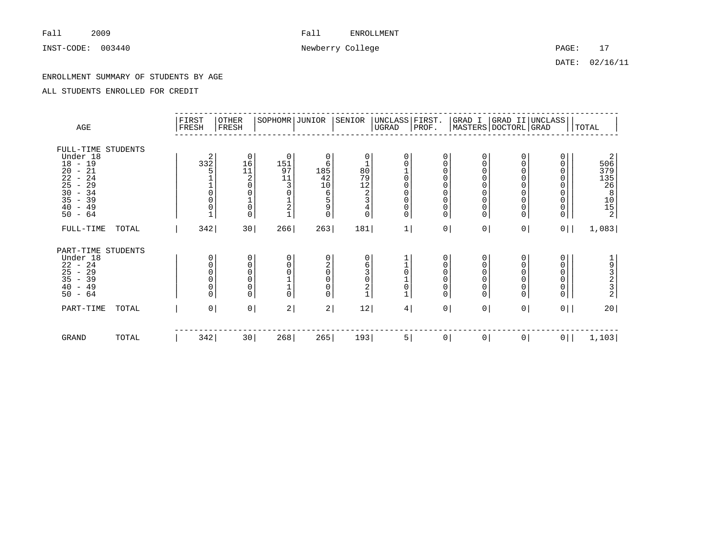INST-CODE: 003440 22 Newberry College 2012 2021 2022: 17

DATE: 02/16/11

### ENROLLMENT SUMMARY OF STUDENTS BY AGE

| AGE                                                                                                                                                                                                       | FIRST<br>FRESH                                      | <b>OTHER</b><br>FRESH                                | SOPHOMR JUNIOR                                        |                                                            | SENIOR                                                                                                           | UNCLASS FIRST.<br>$_{\rm UGRAD}$                                                  | PROF.                                                                          |                                                                                                       | GRAD I  GRAD II UNCLASS<br> MASTERS DOCTORL GRAD |                                                        | TOTAL                                                 |
|-----------------------------------------------------------------------------------------------------------------------------------------------------------------------------------------------------------|-----------------------------------------------------|------------------------------------------------------|-------------------------------------------------------|------------------------------------------------------------|------------------------------------------------------------------------------------------------------------------|-----------------------------------------------------------------------------------|--------------------------------------------------------------------------------|-------------------------------------------------------------------------------------------------------|--------------------------------------------------|--------------------------------------------------------|-------------------------------------------------------|
| FULL-TIME<br>STUDENTS<br>Under 18<br>$18 - 19$<br>21<br>20<br>$\overline{\phantom{a}}$<br>22<br>$-24$<br>25<br>29<br>$\overline{\phantom{a}}$<br>30<br>$-34$<br>35<br>$-39$<br>40<br>$-49$<br>$-64$<br>50 | 2<br>332<br>5<br>$\overline{0}$<br>$\mathbf 0$<br>0 | 0<br>16<br>$\frac{11}{2}$<br>$\mathsf 0$<br>$\Omega$ | $\mathbf 0$<br>151<br>97<br>11<br>3<br>$\overline{2}$ | 0<br>6<br>185<br>42<br>10<br>6<br>5<br>9<br>$\overline{0}$ | 0<br>1<br>$\frac{80}{79}$<br>$\begin{array}{c} 12 \\ 2 \end{array}$<br>3<br>$\begin{matrix} 4 \\ 0 \end{matrix}$ | $\mathbf 0$<br>$\mathbf 0$<br>$\mathbf 0$<br>$\mathbf 0$<br>$\mathbf 0$<br>0<br>0 | $\mathbf 0$<br>$\mathbf 0$<br>0<br>0<br>$\Omega$<br>0<br>0<br>0<br>$\mathbf 0$ | 0<br>$\mathbf 0$<br>$\mathbf 0$<br>0<br>0<br>$\mathbf 0$<br>$\mathbf 0$<br>$\mathbf 0$<br>$\mathbf 0$ | 0<br>0<br>$\Omega$<br>0<br>0<br>0<br>0<br>0<br>0 | 0<br>0<br>0<br>0<br>0<br>$\mathbf 0$<br>0<br>0<br>0    | 2<br>506<br>379<br>135<br>26<br>26<br>$\frac{10}{15}$ |
| FULL-TIME<br>TOTAL                                                                                                                                                                                        | 342                                                 | 30                                                   | 266                                                   | 263                                                        | 181                                                                                                              | 1                                                                                 | 0                                                                              | 0                                                                                                     | 0 <sup>1</sup>                                   | $0$                                                    | 1,083                                                 |
| PART-TIME<br>STUDENTS<br>Under 18<br>$22 - 24$<br>$25 - 29$<br>$35 - 39$<br>$40 - 49$<br>$-64$<br>50                                                                                                      | 0<br>0<br>$\mathbf 0$<br>0<br>0<br>0                | 0<br>0<br>0<br>0<br>0<br>0                           | $\Omega$<br>0<br>$\Omega$                             | 0<br>$\frac{2}{0}$<br>0<br>0<br>0                          | 0<br>$\frac{6}{3}$<br>$\mathsf{O}\xspace$<br>2<br>$\mathbf 1$                                                    | $\mathbf 0$<br>$\mathsf 0$<br>$\mathbf 1$                                         | 0<br>0<br>$\mathbf 0$<br>0<br>0<br>$\mathbf 0$                                 | 0<br>$\mathbf 0$<br>$\mathbf 0$<br>$\mathbf 0$<br>$\mathbf 0$<br>$\overline{0}$                       | 0<br>0<br>$\overline{0}$<br>0<br>0<br>0          | 0<br>0<br>0<br>$\mathsf{O}\xspace$<br>0<br>$\mathbf 0$ | $1932$<br>$232$                                       |
| PART-TIME<br>TOTAL                                                                                                                                                                                        |                                                     | 0 <sup>1</sup><br>$\mathsf{O}\,\,$                   | 2                                                     | 2                                                          | 12                                                                                                               | 4                                                                                 | $\overline{0}$                                                                 | 0                                                                                                     | 0 <sup>1</sup>                                   | $0$                                                    | 20                                                    |
| GRAND<br>TOTAL                                                                                                                                                                                            | 342                                                 | 30                                                   | 268                                                   | 265                                                        | 193                                                                                                              | 5                                                                                 | $\overline{0}$                                                                 | 0                                                                                                     | 0                                                | 0 <sup>1</sup>                                         | 1,103                                                 |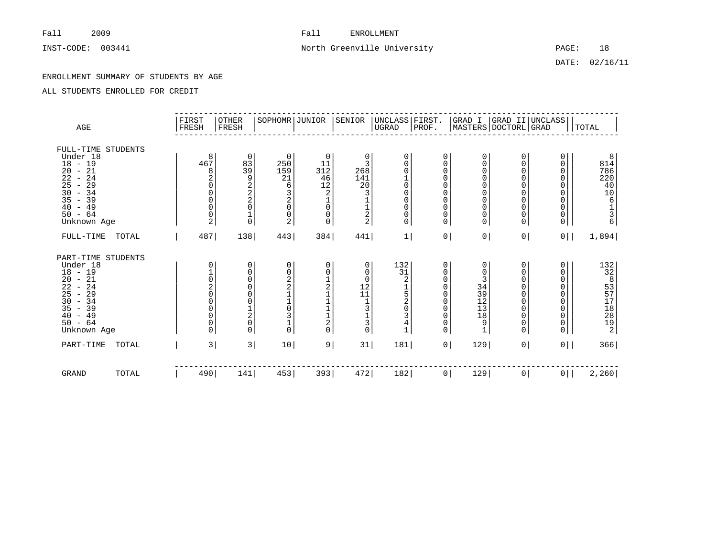# INST-CODE: 003441 2000 18 North Greenville University 2000 18 PAGE: 18

DATE: 02/16/11

### ENROLLMENT SUMMARY OF STUDENTS BY AGE

| AGE                                                                                                                                                                                                      |       | FIRST<br>FRESH                                                                      | OTHER<br>FRESH                                                                | SOPHOMR JUNIOR                                                                                                           |                                                                                                             | SENIOR                                                                          | UNCLASS FIRST.<br> UGRAD  PROF.                                                                                     |                                                                                                 |                                                                                                                                                 |                                                                                                         | GRAD I  GRAD II UNCLASS <br> MASTERS DOCTORL GRAD     | TOTAL                                                                            |
|----------------------------------------------------------------------------------------------------------------------------------------------------------------------------------------------------------|-------|-------------------------------------------------------------------------------------|-------------------------------------------------------------------------------|--------------------------------------------------------------------------------------------------------------------------|-------------------------------------------------------------------------------------------------------------|---------------------------------------------------------------------------------|---------------------------------------------------------------------------------------------------------------------|-------------------------------------------------------------------------------------------------|-------------------------------------------------------------------------------------------------------------------------------------------------|---------------------------------------------------------------------------------------------------------|-------------------------------------------------------|----------------------------------------------------------------------------------|
| FULL-TIME STUDENTS<br>Under 18<br>$18 - 19$<br>$-21$<br>20<br>22<br>$-24$<br>25<br>$-29$<br>30<br>$-34$<br>35<br>$-39$<br>40<br>$-49$<br>$50 - 64$<br>Unknown Age                                        |       | 8<br>467<br>8<br>2<br>$\Omega$<br>$\mathbf 0$<br>$\mathbf 0$<br>$\overline{0}$<br>2 | 0<br>83<br>$\overline{39}$<br>9<br>$\frac{2}{2}$<br>0<br>$\mathbf 1$<br>0     | $\mathbf 0$<br>250<br>159<br>21<br>6<br>$\overline{3}$<br>$\overline{2}$<br>$\mathbf 0$<br>$\mathbf 0$<br>$\overline{2}$ | $\mathbf 0$<br>11<br>312<br>46<br>12<br>$\overline{a}$<br>$\mathsf{O}\xspace$<br>$\mathsf 0$<br>$\mathbf 0$ | 0<br>3<br>268<br>141<br>$20\,$<br>3<br>$\frac{1}{2}$                            | $\mathbf 0$<br>$\Omega$<br>$\Omega$<br>$\overline{0}$<br>$\Omega$<br>$\mathbf 0$<br>$\mathbf 0$<br>$\mathbf 0$<br>0 | 0<br>$\Omega$<br>$\Omega$<br>0<br>$\Omega$<br>$\Omega$<br>$\Omega$<br>$\Omega$<br>0<br>$\Omega$ | $\mathbf 0$<br>$\Omega$<br>$\mathbf 0$<br>$\mathbf 0$<br>$\mathbf 0$<br>$\mathbf 0$<br>$\mathbf 0$<br>$\mathbf 0$<br>$\mathbf 0$<br>$\mathbf 0$ | 0<br>$\mathbf 0$<br>0<br>$\mathbf 0$<br>0<br>$\mathbf 0$<br>$\mathbf 0$<br>0<br>$\mathbf 0$<br>$\Omega$ | 0<br>0<br>0<br>0<br>0<br>0<br>0<br>0<br>0<br>$\Omega$ | 8<br>814<br>786<br>220<br>40<br>$\frac{10}{6}$<br>$\frac{1}{3}$<br>$\frac{1}{6}$ |
| FULL-TIME                                                                                                                                                                                                | TOTAL | 487                                                                                 | 138                                                                           | 443                                                                                                                      | 384                                                                                                         | 441                                                                             | $1\vert$                                                                                                            | 0 <sup>1</sup>                                                                                  | 0                                                                                                                                               | 0 <sup>1</sup>                                                                                          | 0 <sup>1</sup>                                        | 1,894                                                                            |
| PART-TIME STUDENTS<br>Under 18<br>$18 - 19$<br>$-21$<br>20<br>$\overline{22}$<br>$-24$<br>$\overline{25}$<br>$-29$<br>$\overline{30}$<br>$-34$<br>35<br>$-39$<br>40<br>$-49$<br>$50 - 64$<br>Unknown Age |       | 0<br>$\frac{1}{0}$<br>$\overline{0}$<br>$\Omega$<br>0<br>0<br>0<br>$\Omega$         | 0<br>0<br>0<br>0<br>0<br>0<br>$\begin{array}{c} 1 \\ 2 \\ 0 \end{array}$<br>0 | $\mathbf 0$<br>$\mathsf 0$<br>$\frac{2}{2}$<br>$\mathbf{1}$<br>$\overline{0}$<br>3<br>$\mathbf{1}$<br>$\Omega$           | 0<br>$\mathbf 0$<br>1211120                                                                                 | 0<br>0<br>$\mathbf 0$<br>$\frac{12}{11}$<br>$\frac{1}{3}$<br>$\frac{1}{3}$<br>0 | 132<br>31<br>2<br>$\begin{array}{c}\n1 \\ 52 \\ 0\n\end{array}$<br>3<br>4<br>$\mathbf{1}$                           | 0<br>0<br>0<br>$\Omega$<br>0<br>0<br>0<br>0<br>0<br>$\Omega$                                    | $\mathbf 0$<br>0<br>3<br>34<br>$\overline{39}$<br>12<br>13<br>18<br>9<br>$\mathbf{1}$                                                           | 0<br>0<br>0<br>0<br>0<br>0<br>0<br>0<br>0<br>$\Omega$                                                   | 0<br>0<br>0<br>0<br>0<br>0<br>0<br>0<br>0<br>$\Omega$ | 13283778892                                                                      |
| PART-TIME                                                                                                                                                                                                | TOTAL | 3                                                                                   | 3                                                                             | 10                                                                                                                       | 9                                                                                                           | 31                                                                              | 181                                                                                                                 | 0 <sup>1</sup>                                                                                  | 129                                                                                                                                             | 0 <sup>1</sup>                                                                                          | 0 <sup>1</sup>                                        | 366                                                                              |
| <b>GRAND</b>                                                                                                                                                                                             | TOTAL | 490                                                                                 | 141                                                                           | 453                                                                                                                      | 393                                                                                                         | 472                                                                             | 182                                                                                                                 | 0 <sup>1</sup>                                                                                  | 129                                                                                                                                             | 0                                                                                                       | 0 <sup>1</sup>                                        | 2,260                                                                            |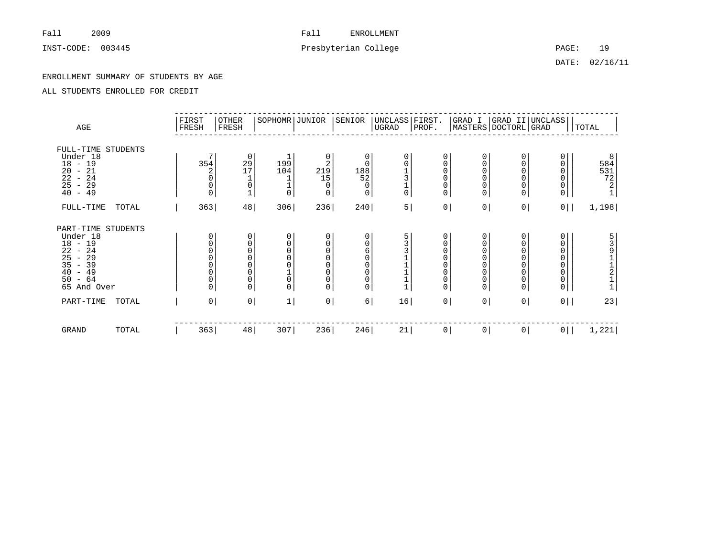# INST-CODE: 003445 2003445 Presbyterian College PAGE: 19

DATE: 02/16/11

### ENROLLMENT SUMMARY OF STUDENTS BY AGE

| AGE                                                                                                                                        |       | FIRST<br>FRESH | <b>OTHER</b><br>FRESH                                                                                                                    | SOPHOMR JUNIOR                                                      |                                                                         | SENIOR                                      | UNCLASS FIRST.<br>UGRAD                                   | PROF.                                                 |                                                                                           | MASTERS DOCTORL GRAD                                         | GRAD I GRAD II UNCLASS                                                   | TOTAL                                     |
|--------------------------------------------------------------------------------------------------------------------------------------------|-------|----------------|------------------------------------------------------------------------------------------------------------------------------------------|---------------------------------------------------------------------|-------------------------------------------------------------------------|---------------------------------------------|-----------------------------------------------------------|-------------------------------------------------------|-------------------------------------------------------------------------------------------|--------------------------------------------------------------|--------------------------------------------------------------------------|-------------------------------------------|
| FULL-TIME STUDENTS<br>Under 18<br>$18 - 19$<br>20<br>$-21$<br>22<br>$-24$<br>$25 - 29$<br>$40 - 49$                                        |       | 354            | 0<br>$\begin{array}{c} 29 \\ 17 \end{array}$<br>$\overline{2}$<br>$\mathbf 0$<br>$\mathsf 0$<br>$\mathbf 1$<br>0                         | 199<br>104<br>$\Omega$                                              | 0<br>$\begin{smallmatrix}2\219\end{smallmatrix}$<br>15<br>0<br>$\Omega$ | 0<br>$\Omega$<br>188<br>52<br>0<br>$\Omega$ | 0<br>0<br>$\begin{array}{c} 1 \\ 3 \\ 1 \\ 0 \end{array}$ | 0<br>0<br>$\Omega$<br>$\Omega$<br>0<br>$\Omega$       | 0<br>0<br>$\mathbf 0$<br>$\mathsf 0$<br>$\mathsf{O}$<br>$\mathsf{O}$                      | $\mathbf 0$<br>0<br>$\Omega$<br>$\mathbf 0$<br>0<br>$\Omega$ | 0<br>0<br>0<br>0<br>0<br>0                                               | 8<br>$584$<br>$531$<br>$72$<br>$2$<br>$1$ |
| FULL-TIME                                                                                                                                  | TOTAL |                | 48 <br>363                                                                                                                               | 306                                                                 | 236                                                                     | 240                                         | 5                                                         | 0                                                     | 0                                                                                         | 0                                                            | $0$                                                                      | 1,198                                     |
| PART-TIME STUDENTS<br>Under 18<br>$18 - 19$<br>22<br>$-24$<br>25<br>29<br>$\sim$<br>$35 - 39$<br>40<br>$-49$<br>50<br>$-64$<br>65 And Over |       |                | 0<br>0<br>0<br>$\begin{matrix} 0 \\ 0 \\ 0 \end{matrix}$<br>$\Omega$<br>$\begin{matrix} 0 \\ 0 \\ 0 \end{matrix}$<br>$\overline{0}$<br>0 | $\mathbf 0$<br>0<br>$\Omega$<br>$\Omega$<br>$\mathbf 0$<br>$\Omega$ | 0<br>$\mathsf 0$<br>000000                                              | 0<br>0<br>6<br>$\Omega$<br>0<br>0<br>0<br>0 | 5<br>3<br>3<br>$\begin{array}{c} 1 \\ 1 \\ 1 \end{array}$ | 0<br>0<br>$\Omega$<br>$\mathbf 0$<br>$\mathbf 0$<br>0 | 0<br>0<br>$\mathbf 0$<br>$\mathbf 0$<br>0<br>$\mathsf 0$<br>$\mathsf 0$<br>$\overline{0}$ | 0<br>$\mathbf 0$<br>$\Omega$<br>$\mathbf 0$<br>0<br>$\Omega$ | 0<br>0<br>0<br>0<br>0<br>0<br>$\mathsf{O}\xspace$<br>$\mathsf{O}\xspace$ | 5391<br>$\frac{1}{2}$<br>$\frac{2}{1}$    |
| PART-TIME                                                                                                                                  | TOTAL |                | 0 <sup>1</sup><br>$\overline{0}$                                                                                                         | 1                                                                   | 0                                                                       | 6                                           | 16                                                        | 0                                                     | 0                                                                                         | 0                                                            | $0$                                                                      | 23                                        |
| GRAND                                                                                                                                      | TOTAL |                | 363<br>48                                                                                                                                | 307                                                                 | 236                                                                     | 246                                         | 21                                                        | 0                                                     | 0                                                                                         | 0                                                            | $0$                                                                      | 1,221                                     |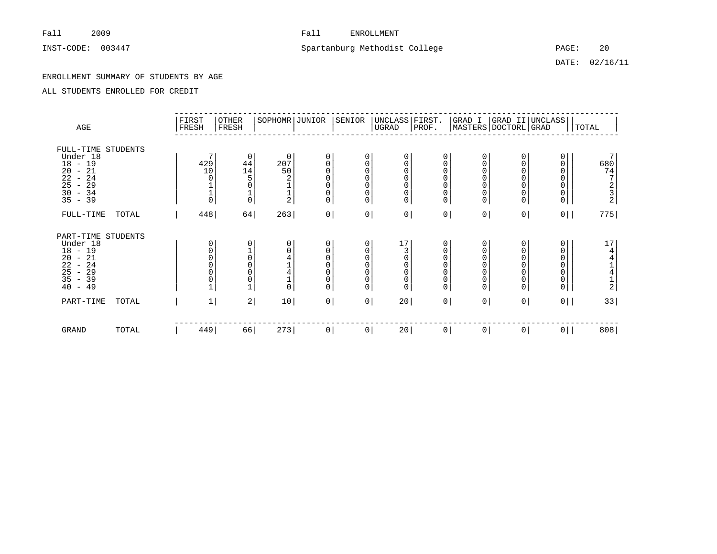# INST-CODE: 003447 CODE: 003447 Spartanburg Methodist College PAGE: 20

DATE: 02/16/11

### ENROLLMENT SUMMARY OF STUDENTS BY AGE

| AGE                                                                                                                                                       |       | FIRST<br>FRESH             | <b>OTHER</b><br>FRESH                                                                         | SOPHOMR JUNIOR                                                             |                                                               | SENIOR                                        | UNCLASS FIRST.<br>$_{\rm UGRAD}$                                                                              | PROF.                                                                          |                                                                                                        |                                                                        | GRAD I  GRAD II UNCLASS <br> MASTERS DOCTORL GRAD        | TOTAL                                                               |
|-----------------------------------------------------------------------------------------------------------------------------------------------------------|-------|----------------------------|-----------------------------------------------------------------------------------------------|----------------------------------------------------------------------------|---------------------------------------------------------------|-----------------------------------------------|---------------------------------------------------------------------------------------------------------------|--------------------------------------------------------------------------------|--------------------------------------------------------------------------------------------------------|------------------------------------------------------------------------|----------------------------------------------------------|---------------------------------------------------------------------|
| FULL-TIME STUDENTS<br>Under 18<br>$18 - 19$<br>$\overline{20}$<br>$-21$<br>$\overline{2}\overline{2}$<br>$-24$<br>25<br>$-29$<br>30<br>$-34$<br>$35 - 39$ |       | 429<br>10<br>$\frac{1}{0}$ | 0<br>44<br>14<br>$\frac{1}{0}$                                                                | $\mathbf 0$<br>$\overset{2\,0\,7}{\phantom{1}5\,0}$<br>$\frac{1}{2}$       | 0<br>000<br>$\bar{0}$<br>$\begin{matrix} 0 \\ 0 \end{matrix}$ | 0<br>0<br>$\Omega$<br>$\Omega$<br>0<br>0<br>0 | 0<br>0<br>$\begin{matrix} 0 \\ 0 \end{matrix}$<br>$\mathsf{O}\xspace$<br>$\begin{matrix} 0 \\ 0 \end{matrix}$ | 0<br>0<br>$\Omega$<br>$\Omega$<br>$\mathbf 0$<br>$\mathbf 0$<br>$\Omega$       | 0<br>0<br>$\mathbf 0$<br>$\mathbf 0$<br>$\mathsf 0$<br>$\mathsf{O}$<br>$\mathsf{O}$                    | 0<br>$\mathbf 0$<br>$\Omega$<br>0<br>0<br>$\Omega$                     | 0<br>0<br>$\Omega$<br>0<br>0<br>0<br>$\mathsf{O}\xspace$ | 680<br>74<br>7<br>$\frac{2}{3}$                                     |
| FULL-TIME                                                                                                                                                 | TOTAL | 448                        | 64                                                                                            | 263                                                                        | 0 <sup>1</sup>                                                | 0 <sup>1</sup>                                | $\mathsf{O}\xspace$                                                                                           | 0 <sup>1</sup>                                                                 | 0 <sup>1</sup>                                                                                         | 0 <sup>1</sup>                                                         | $0$                                                      | 775                                                                 |
| PART-TIME STUDENTS<br>Under 18<br>$18 - 19$<br>$-21$<br>20<br>22<br>$-24$<br>25<br>$-29$<br>$35 - 39$<br>40<br>$-49$                                      |       | 0<br>0                     | 0<br>$\begin{matrix} 1 \\ 0 \\ 0 \end{matrix}$<br>$\mathsf 0$<br>$\mathsf{O}\xspace$<br>$1\,$ | $\mathbf 0$<br>$\mathbf 0$<br>$\overline{4}$<br>$\overline{4}$<br>$\Omega$ | 0<br>000<br>$\begin{matrix} 0 \\ 0 \\ 0 \end{matrix}$         | 0<br>0<br>$\Omega$<br>0<br>0<br>0<br>0        | 17<br>$\begin{bmatrix} 3 \\ 0 \\ 0 \end{bmatrix}$<br>$\begin{matrix} 0 \\ 0 \end{matrix}$<br>$\mathsf 0$      | 0<br>$\mathbf 0$<br>$\Omega$<br>$\mathbf 0$<br>$\mathbf 0$<br>$\mathbf 0$<br>0 | 0<br>$\mathbf 0$<br>$\mathbf 0$<br>$\mathbf 0$<br>$\mathsf 0$<br>$\mathsf{O}\xspace$<br>$\overline{0}$ | 0<br>$\mathbf 0$<br>$\Omega$<br>$\mathbf 0$<br>$\mathbf 0$<br>$\Omega$ | 0<br>0<br>0<br>0<br>0<br>0<br>0                          | $17$<br>$\begin{array}{c}\n4 \\ 4 \\ 1 \\ 4 \\ 1 \\ 2\n\end{array}$ |
| PART-TIME                                                                                                                                                 | TOTAL | 1                          | 2                                                                                             | 10                                                                         | 0                                                             | 0 <sup>1</sup>                                | 20                                                                                                            | 0                                                                              | 0                                                                                                      | 0                                                                      | $0$                                                      | 33                                                                  |
| GRAND                                                                                                                                                     | TOTAL | 449                        | 66                                                                                            | 273                                                                        | 0                                                             | 0                                             | 20                                                                                                            | 0 <sup>1</sup>                                                                 | 0                                                                                                      | $\circ$                                                                | $0$                                                      | 808                                                                 |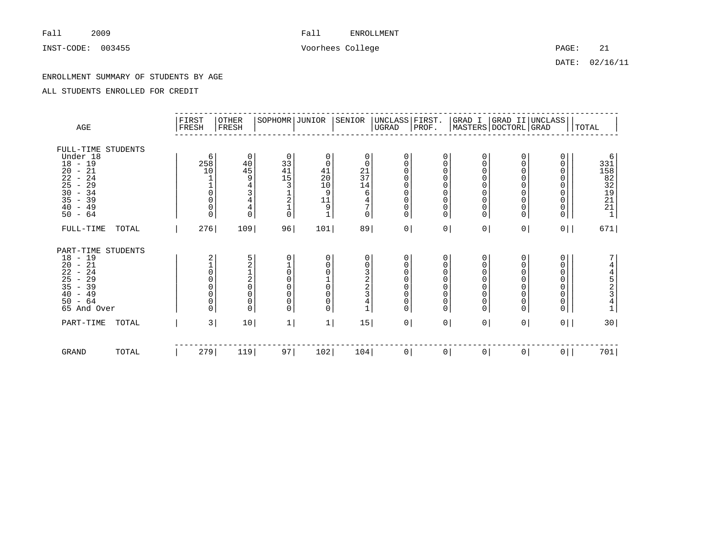INST-CODE: 003455 Voorhees College PAGE: 21

DATE: 02/16/11

### ENROLLMENT SUMMARY OF STUDENTS BY AGE

| AGE                                                                                                                                                                                                           | FIRST<br>FRESH                                                           | <b>OTHER</b><br>FRESH                                             | SOPHOMR JUNIOR                                                                                                       |                                                         | SENIOR                                                               | UNCLASS FIRST.<br>UGRAD                                                 | PROF.                                                                                                                     |                                                                                                             |                                                                                                                                                   | $\begin{array}{ l l } \hline \texttt{GRAD I} & \texttt{GRAD II} & \texttt{UNCLASS} \\ \hline \texttt{MASTERS} & \texttt{DOCTORL} & \texttt{GRAD} \\ \hline \end{array}$ | TOTAL                                               |
|---------------------------------------------------------------------------------------------------------------------------------------------------------------------------------------------------------------|--------------------------------------------------------------------------|-------------------------------------------------------------------|----------------------------------------------------------------------------------------------------------------------|---------------------------------------------------------|----------------------------------------------------------------------|-------------------------------------------------------------------------|---------------------------------------------------------------------------------------------------------------------------|-------------------------------------------------------------------------------------------------------------|---------------------------------------------------------------------------------------------------------------------------------------------------|-------------------------------------------------------------------------------------------------------------------------------------------------------------------------|-----------------------------------------------------|
| FULL-TIME STUDENTS<br>Under 18<br>$18 - 19$<br>21<br>20<br>$\overline{\phantom{a}}$<br>22<br>24<br>$\overline{\phantom{a}}$<br>25<br>$-29$<br>$\frac{30}{35}$<br>$-34$<br>$-39$<br>$-49$<br>40<br>$-64$<br>50 | 6<br>258<br>10<br>$\overline{0}$<br>0<br>$\mathsf{O}\xspace$<br>$\Omega$ | $\mathbf 0$<br>$\frac{40}{45}$<br>$\frac{4}{4}$<br>$\overline{0}$ | 0<br>33<br>41<br>15<br>3<br>$\frac{1}{2}$<br>$\frac{1}{0}$                                                           | 0<br>0<br>41<br>20<br>10<br>9<br>11<br>9<br>$\mathbf 1$ | 0<br>0<br>$\frac{21}{37}$<br>14<br>6<br>$\frac{4}{7}$<br>$\mathbf 0$ | 0<br>$\mathbf 0$<br>0<br>0<br>0<br>0<br>0<br>$\mathbf 0$<br>$\mathbf 0$ | $\mathbf 0$<br>$\mathbf 0$<br>$\mathbf 0$<br>0<br>$\mathbf 0$<br>$\mathbf 0$<br>$\mathbf 0$<br>$\mathbf 0$<br>$\mathbf 0$ | 0<br>$\overline{0}$<br>$\mathbf 0$<br>$\overline{0}$<br>0<br>$\mathbf 0$<br>0<br>$\mathsf 0$<br>$\mathbf 0$ | 0<br>$\begin{smallmatrix}0\\0\end{smallmatrix}$<br>$\bar{0}$<br>$\begin{matrix} 0 \\ 0 \end{matrix}$<br>$\begin{matrix} 0 \\ 0 \\ 0 \end{matrix}$ | $\Omega$<br>0<br>$\Omega$                                                                                                                                               | 6<br>1<br>1<br>1<br>1<br>2<br>2<br>1<br>2<br>1<br>1 |
| $FULL-TIME$<br>TOTAL                                                                                                                                                                                          | 276                                                                      | 109                                                               | 96                                                                                                                   | 101                                                     | 89                                                                   | 0                                                                       | $0 \mid$                                                                                                                  | 0 <sup>1</sup>                                                                                              | $\mathsf{O}$                                                                                                                                      | 0                                                                                                                                                                       | 671                                                 |
| STUDENTS<br>PART-TIME<br>$18 - 19$<br>21<br>20<br>$\overline{\phantom{a}}$<br>$\frac{22}{25}$<br>35<br>24<br>$\overline{\phantom{a}}$<br>$-29$<br>$-39$<br>40<br>$-49$<br>50<br>$-64$<br>65 And Over          | 2<br>$\mathsf{O}\xspace$<br>0<br>0<br>$\mathsf{O}\xspace$<br>0<br>0      | 52120<br>$_{\rm 0}^{\rm 0}$<br>$\mathbf 0$                        | 0<br>$\begin{matrix} 1 \\ 0 \end{matrix}$<br>$\overline{0}$<br>$\mathbf 0$<br>$\mathbf 0$<br>$\mathbf 0$<br>$\Omega$ | 0<br>0<br>0<br>$\mathsf{O}\xspace$<br>0<br>0<br>0       | 0<br>0<br>$\frac{3}{2}$<br>3<br>$\bf 4$<br>$\overline{1}$            | 0<br>0<br>0<br>0<br>0<br>$\mathbf 0$<br>$\mathbf 0$<br>$\mathbf 0$      | $\mathbf 0$<br>$\mathbf 0$<br>$\mathbf 0$<br>$\mathbf 0$<br>$\mathbf 0$<br>$\mathbf 0$<br>$\mathbf 0$<br>$\overline{0}$   | 0<br>0<br>0<br>0<br>$\mathbf 0$<br>$\pmb{0}$<br>$\mathsf 0$<br>$\overline{0}$                               | $_{\rm 0}^{\rm 0}$<br>$\begin{matrix} 0 \\ 0 \\ 0 \end{matrix}$<br>$\begin{matrix} 0 \\ 0 \\ 0 \end{matrix}$                                      | $\Omega$<br>0<br>0                                                                                                                                                      | 7<br>4452341                                        |
| PART-TIME<br>TOTAL                                                                                                                                                                                            | 3                                                                        | 10                                                                | 1                                                                                                                    | 1                                                       | 15                                                                   | 0                                                                       | 0                                                                                                                         | 0 <sup>1</sup>                                                                                              | $\mathsf{O}$                                                                                                                                      | $0$                                                                                                                                                                     | 30                                                  |
| GRAND<br>TOTAL                                                                                                                                                                                                | 279                                                                      | 119                                                               | 97                                                                                                                   | 102                                                     | 104                                                                  | $\circ$                                                                 | 0 <sup>1</sup>                                                                                                            | 0 <sup>1</sup>                                                                                              | $\mathbf{0}$                                                                                                                                      | 0                                                                                                                                                                       | 701                                                 |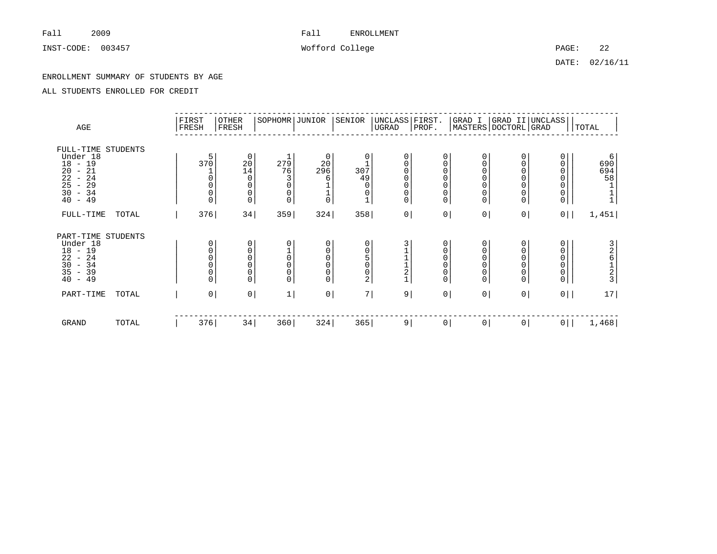INST-CODE: 003457 Wofford College PAGE: 22

DATE: 02/16/11

### ENROLLMENT SUMMARY OF STUDENTS BY AGE

| AGE                                                                                                                                   |       | FIRST<br>FRESH               | <b>OTHER</b><br>FRESH                           | SOPHOMR JUNIOR                         |                                                | SENIOR                                                                             | UNCLASS FIRST.<br>UGRAD                                   | PROF.                                                                          | GRAD I                                                                                | MASTERS DOCTORL GRAD                           | GRAD II UNCLASS                                   | <b>TOTAL</b>                           |
|---------------------------------------------------------------------------------------------------------------------------------------|-------|------------------------------|-------------------------------------------------|----------------------------------------|------------------------------------------------|------------------------------------------------------------------------------------|-----------------------------------------------------------|--------------------------------------------------------------------------------|---------------------------------------------------------------------------------------|------------------------------------------------|---------------------------------------------------|----------------------------------------|
| FULL-TIME STUDENTS<br>Under 18<br>18<br>$-19$<br>$^{20}_{22}$<br>$-21$<br>$-24$<br>25<br>29<br>$\equiv$<br>30<br>$-34$<br>40<br>$-49$ |       | 5<br>370<br>0<br>$\Omega$    | 0<br>$20$<br>14<br>$\Omega$<br>$\mathbf 0$<br>0 | 279<br>76<br>3<br>$\Omega$<br>$\Omega$ | 0<br>20<br>296<br>6<br>$\frac{1}{0}$           | 0<br>307<br>49<br>$\mathbf 0$<br>0<br>$\mathbf 1$                                  | 0<br>0<br>$\mathsf 0$<br>$\mathbf 0$<br>0<br>$\mathsf{O}$ | 0<br>$\mathsf 0$<br>$\mathbf 0$<br>$\Omega$<br>$\mathbf 0$<br>0<br>$\mathbf 0$ | 0<br>$\mathbf 0$<br>$\mathbf 0$<br>$\Omega$<br>$\mathbf 0$<br>$\mathbf 0$<br>$\Omega$ | 0<br>0<br>O<br>0<br>0                          | 0<br>0<br>0<br>0<br>$\mathsf{O}\xspace$<br>$_0^0$ | 6<br>690<br>694<br>58<br>$\frac{1}{1}$ |
| FULL-TIME                                                                                                                             | TOTAL | 376                          | 34                                              | 359                                    | 324                                            | 358                                                                                | 0 <sup>1</sup>                                            | $\overline{0}$                                                                 | 0 <sup>1</sup>                                                                        | 0 <sup>1</sup>                                 | 0                                                 | 1,451                                  |
| PART-TIME STUDENTS<br>Under 18<br>$18 - 19$<br>22<br>$-24$<br>30<br>$-34$<br>35<br>$-39$<br>40<br>$-49$                               |       | 0<br>0<br>$\Omega$<br>0<br>0 | 0<br>0<br>$\overline{0}$<br>0<br>0<br>$\Omega$  | $\Omega$<br>$\cap$                     | 0<br>$\mathsf 0$<br>0<br>$\mathbf 0$<br>0<br>0 | $\mathbf 0$<br>$\mathsf 0$<br>5<br>$\mathsf{O}\xspace$<br>$\mathsf{O}\xspace$<br>2 | $\overline{\mathbf{c}}$<br>$\mathbf{1}$                   | 0<br>0<br>$\Omega$<br>$\mathbf{0}$<br>0<br>$\Omega$                            | 0<br>$\mathbf 0$<br>$\Omega$<br>$\mathbf 0$<br>$\mathbf 0$<br>$\Omega$                | 0<br>0<br>$\Omega$<br>$\overline{0}$<br>0<br>0 | 0<br>0<br>0<br>0<br>0<br>$\mathsf{O}\xspace$      | 326123                                 |
| PART-TIME                                                                                                                             | TOTAL | 0 <sup>1</sup>               | $\mathsf{O}\,\,$                                | 1                                      | $\overline{0}$                                 | 7                                                                                  | 9                                                         | $\overline{0}$                                                                 | 0                                                                                     | 0                                              | 0                                                 | 17                                     |
| GRAND                                                                                                                                 | TOTAL | 376                          | 34                                              | 360                                    | 324                                            | 365                                                                                | 9                                                         | 0                                                                              | 0                                                                                     | 0                                              | $0$                                               | 1,468                                  |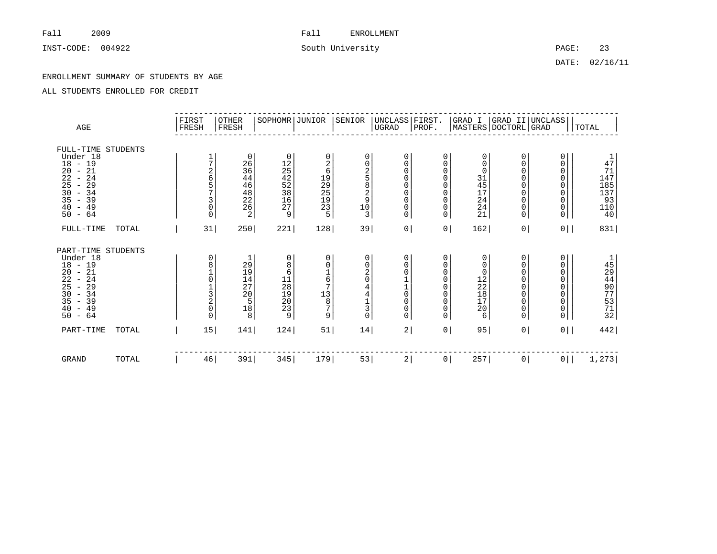INST-CODE: 004922 33

DATE: 02/16/11

### ENROLLMENT SUMMARY OF STUDENTS BY AGE

| AGE                                                                                                                                                                                                                                    |       | FIRST<br>FRESH                                     | OTHER<br>FRESH                                                                                       | SOPHOMR JUNIOR                                                         |                                                                  | SENIOR                                                                 | UNCLASS FIRST.<br>UGRAD                                                                                                                                            | PROF.                                                                                            |                                                                        |                                                                                                                        | GRAD I  GRAD II UNCLASS <br> MASTERS DOCTORL GRAD   | TOTAL                                                                                       |
|----------------------------------------------------------------------------------------------------------------------------------------------------------------------------------------------------------------------------------------|-------|----------------------------------------------------|------------------------------------------------------------------------------------------------------|------------------------------------------------------------------------|------------------------------------------------------------------|------------------------------------------------------------------------|--------------------------------------------------------------------------------------------------------------------------------------------------------------------|--------------------------------------------------------------------------------------------------|------------------------------------------------------------------------|------------------------------------------------------------------------------------------------------------------------|-----------------------------------------------------|---------------------------------------------------------------------------------------------|
| FULL-TIME STUDENTS<br>Under 18<br>$18 - 19$<br>$\frac{20}{22}$<br>$-21$<br>$-24$<br>25<br>29<br>$\overline{\phantom{a}}$<br>30<br>34<br>$\overline{\phantom{a}}$<br>35<br>39<br>$\overline{\phantom{m}}$<br>40<br>$-49$<br>$-64$<br>50 |       | 7<br>2<br>б<br>$\frac{5}{7}$<br>3<br>0<br>$\Omega$ | 0<br>26<br>36<br>44<br>4648226225                                                                    | 0<br>1254252867<br>9                                                   | 0<br>$\frac{2}{6}$<br>19<br>29<br>25<br>23<br>23<br>5            | 0<br>0<br>$\overline{2}$<br>$\overline{5}$<br>$\frac{8}{9}$<br>10<br>3 | 0<br>$\mathsf{O}\xspace$<br>0<br>0<br>$\begin{matrix} 0 \\ 0 \end{matrix}$<br>$\overline{0}$<br>$\mathsf{O}\xspace$<br>0                                           | $\mathbf 0$<br>0<br>$\mathbf 0$<br>$\Omega$<br>$\Omega$<br>$\Omega$<br>$\Omega$<br>0<br>$\Omega$ | 0<br>$\mathbf 0$<br>0<br>31<br>45<br>17<br>24<br>24<br>21              | 0<br>$\mathbf 0$<br>$\mathbf 0$<br>$\mathbf 0$<br>$\Omega$<br>$\mathbf 0$<br>$\mathbf 0$<br>$\mathbf 0$<br>$\mathbf 0$ | 0<br>0<br>0<br>0<br>0<br>0<br>0<br>0<br>0           | $\begin{array}{c} 1 \\ 4 \\ 71 \\ 147 \end{array}$<br>185<br>187<br>137<br>110<br>110<br>40 |
| FULL-TIME                                                                                                                                                                                                                              | TOTAL | 31                                                 | 250                                                                                                  | 221                                                                    | 128                                                              | 39                                                                     | $\mathsf{O}\xspace$                                                                                                                                                | 0 <sup>1</sup>                                                                                   | 162                                                                    | 0 <sup>1</sup>                                                                                                         | 0                                                   | 831                                                                                         |
| PART-TIME STUDENTS<br>Under 18<br>$18 - 19$<br>$-21$<br>20<br>22<br>24<br>$\sim$<br>25<br>29<br>$\overline{\phantom{a}}$<br>30<br>$-34$<br>35<br>$-39$<br>40<br>$-49$<br>$-64$<br>50                                                   |       | 0<br>8<br>$\frac{3}{2}$<br>0<br>0                  | $\frac{1}{29}$<br>$\frac{19}{14}$<br>27<br>$\frac{1}{2}$ 0<br>$\begin{array}{c} 18 \\ 8 \end{array}$ | $\mathbf 0$<br>8<br>6<br>$\frac{11}{28}$<br>$\frac{19}{20}$<br>23<br>9 | 0<br>0167<br>$\begin{bmatrix} 1\ 3 \\ 8 \\ 7 \end{bmatrix}$<br>9 | 0<br>0<br>2<br>$\Omega$<br>4<br>4<br>$\frac{1}{3}$<br>0                | 0<br>$\mathsf{O}\xspace$<br>$\mathsf{O}\xspace$<br>$\begin{array}{c} 1 \\ 1 \\ 0 \end{array}$<br>$\mathsf{O}\xspace$<br>$\mathsf{O}\xspace$<br>$\mathsf{O}\xspace$ | $\mathbf 0$<br>$\Omega$<br>$\Omega$<br>$\Omega$<br>$\Omega$<br>0<br>0<br>0<br>0                  | 0<br>0<br>$\mathbf 0$<br>$\frac{12}{22}$<br>$\frac{18}{17}$<br>20<br>6 | 0<br>$\mathbf 0$<br>$\Omega$<br>$\mathbf 0$<br>$\mathbf 0$<br>$\mathbf 0$<br>0<br>$\mathbf 0$<br>$\mathbf 0$           | 0<br>0<br>$\mathbf 0$<br>0<br>0<br>0<br>0<br>0<br>0 | 159407312                                                                                   |
| PART-TIME                                                                                                                                                                                                                              | TOTAL | 15                                                 | 141                                                                                                  | 124                                                                    | 51                                                               | 14                                                                     | 2                                                                                                                                                                  | 0 <sup>1</sup>                                                                                   | 95                                                                     | 0 <sup>1</sup>                                                                                                         | $0$                                                 | 442                                                                                         |
| <b>GRAND</b>                                                                                                                                                                                                                           | TOTAL | 46                                                 | 391                                                                                                  | 345                                                                    | 179                                                              | 53                                                                     | $\overline{a}$                                                                                                                                                     | 0                                                                                                | 257                                                                    | $\circ$                                                                                                                | $0$                                                 | 1,273                                                                                       |